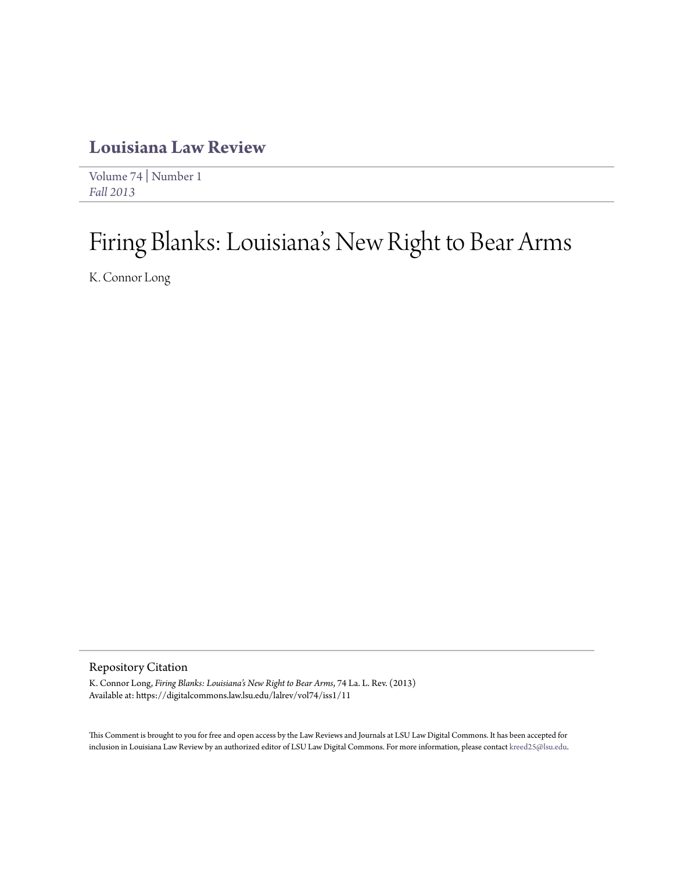# **[Louisiana Law Review](https://digitalcommons.law.lsu.edu/lalrev)**

[Volume 74](https://digitalcommons.law.lsu.edu/lalrev/vol74) | [Number 1](https://digitalcommons.law.lsu.edu/lalrev/vol74/iss1) *[Fall 2013](https://digitalcommons.law.lsu.edu/lalrev/vol74/iss1)*

# Firing Blanks: Louisiana 's New Right to Bear Arms

K. Connor Long

# Repository Citation

K. Connor Long, *Firing Blanks: Louisiana's New Right to Bear Arms*, 74 La. L. Rev. (2013) Available at: https://digitalcommons.law.lsu.edu/lalrev/vol74/iss1/11

This Comment is brought to you for free and open access by the Law Reviews and Journals at LSU Law Digital Commons. It has been accepted for inclusion in Louisiana Law Review by an authorized editor of LSU Law Digital Commons. For more information, please contact [kreed25@lsu.edu](mailto:kreed25@lsu.edu).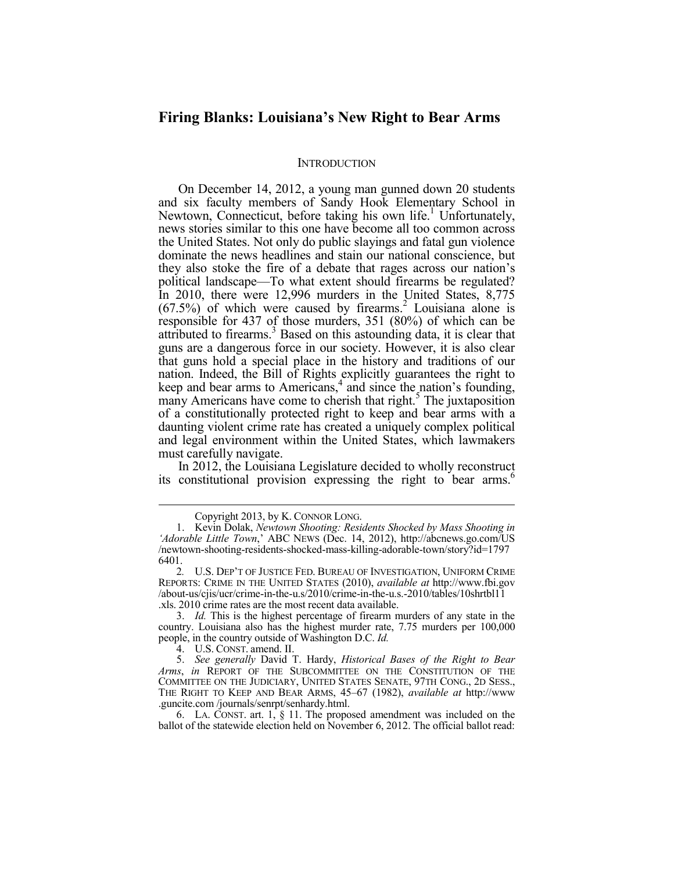# **Firing Blanks: Louisiana's New Right to Bear Arms**

#### **INTRODUCTION**

On December 14, 2012, a young man gunned down 20 students and six faculty members of Sandy Hook Elementary School in Newtown, Connecticut, before taking his own life.<sup>1</sup> Unfortunately, news stories similar to this one have become all too common across the United States. Not only do public slayings and fatal gun violence dominate the news headlines and stain our national conscience, but they also stoke the fire of a debate that rages across our nation's political landscape—To what extent should firearms be regulated? In 2010, there were 12,996 murders in the United States, 8,775  $(67.5%)$  of which were caused by firearms.<sup>2</sup> Louisiana alone is responsible for 437 of those murders, 351 (80%) of which can be attributed to firearms.<sup>3</sup> Based on this astounding data, it is clear that guns are a dangerous force in our society. However, it is also clear that guns hold a special place in the history and traditions of our nation. Indeed, the Bill of Rights explicitly guarantees the right to keep and bear arms to Americans, $4$  and since the nation's founding, many Americans have come to cherish that right.<sup>5</sup> The juxtaposition of a constitutionally protected right to keep and bear arms with a daunting violent crime rate has created a uniquely complex political and legal environment within the United States, which lawmakers must carefully navigate.

In 2012, the Louisiana Legislature decided to wholly reconstruct its constitutional provision expressing the right to bear arms.<sup>6</sup>

Copyright 2013, by K. CONNOR LONG.

 <sup>1.</sup> Kevin Dolak, *Newtown Shooting: Residents Shocked by Mass Shooting in*  'Adorable Little Town,' ABC NEWS (Dec. 14, 2012), http://abcnews.go.com/US /newtown-shooting-residents-shocked-mass-killing-adorable-town/story?id=1797 6401.

<sup>2</sup>*.* U.S. DEP'T OF JUSTICE FED. BUREAU OF INVESTIGATION, UNIFORM CRIME REPORTS: CRIME IN THE UNITED STATES (2010), *available at* http://www.fbi.gov /about-us/cjis/ucr/crime-in-the-u.s/2010/crime-in-the-u.s.-2010/tables/10shrtbl11 .xls. 2010 crime rates are the most recent data available.

 <sup>3.</sup> *Id.* This is the highest percentage of firearm murders of any state in the country. Louisiana also has the highest murder rate, 7.75 murders per 100,000 people, in the country outside of Washington D.C. *Id.*

 <sup>4.</sup> U.S. CONST. amend. II.

 <sup>5.</sup> *See generally* David T. Hardy, *Historical Bases of the Right to Bear Arms*, *in* REPORT OF THE SUBCOMMITTEE ON THE CONSTITUTION OF THE COMMITTEE ON THE JUDICIARY, UNITED STATES SENATE, 97TH CONG., 2D SESS., THE RIGHT TO KEEP AND BEAR ARMS, 45–67 (1982), *available at* http://www .guncite.com /journals/senrpt/senhardy.html.

 <sup>6.</sup> LA. CONST. art. 1, § 11. The proposed amendment was included on the ballot of the statewide election held on November 6, 2012. The official ballot read: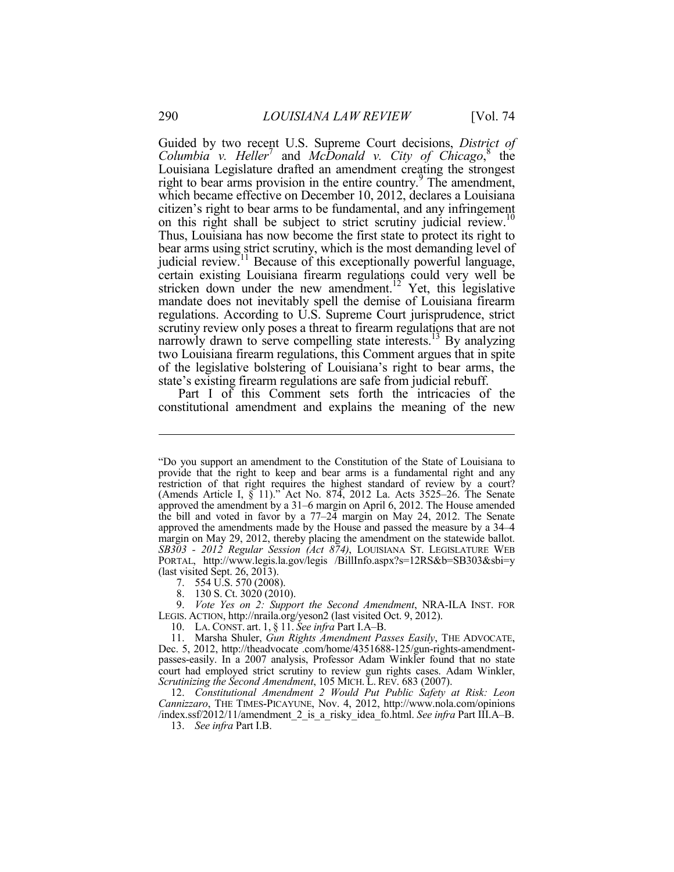Guided by two recent U.S. Supreme Court decisions, *District of*  Columbia v. Heller<sup>7</sup> and *McDonald v. City of Chicago*,<sup>8</sup> the Louisiana Legislature drafted an amendment creating the strongest right to bear arms provision in the entire country.<sup>9</sup> The amendment, which became effective on December 10, 2012, declares a Louisiana citizen's right to bear arms to be fundamental, and any infringement on this right shall be subject to strict scrutiny judicial review.<sup>10</sup> Thus, Louisiana has now become the first state to protect its right to bear arms using strict scrutiny, which is the most demanding level of judicial review.11 Because of this exceptionally powerful language, certain existing Louisiana firearm regulations could very well be stricken down under the new amendment.<sup>12</sup> Yet, this legislative mandate does not inevitably spell the demise of Louisiana firearm regulations. According to U.S. Supreme Court jurisprudence, strict scrutiny review only poses a threat to firearm regulations that are not narrowly drawn to serve compelling state interests.<sup>13</sup> By analyzing two Louisiana firearm regulations, this Comment argues that in spite of the legislative bolstering of Louisiana's right to bear arms, the state's existing firearm regulations are safe from judicial rebuff.

Part I of this Comment sets forth the intricacies of the constitutional amendment and explains the meaning of the new

8. 130 S. Ct. 3020 (2010).

 9. *Vote Yes on 2: Support the Second Amendment*, NRA-ILA INST. FOR LEGIS. ACTION, http://nraila.org/yeson2 (last visited Oct. 9, 2012).

10. LA. CONST. art. 1, § 11. *See infra* Part I.A–B.

 11. Marsha Shuler, *Gun Rights Amendment Passes Easily*, THE ADVOCATE, Dec. 5, 2012, http://theadvocate .com/home/4351688-125/gun-rights-amendmentpasses-easily. In a 2007 analysis, Professor Adam Winkler found that no state court had employed strict scrutiny to review gun rights cases. Adam Winkler, *Scrutinizing the Second Amendment*, 105 MICH. L. REV. 683 (2007).

 12. *Constitutional Amendment 2 Would Put Public Safety at Risk: Leon Cannizzaro*, THE TIMES-PICAYUNE, Nov. 4, 2012, http://www.nola.com/opinions /index.ssf/2012/11/amendment\_2\_is\_a\_risky\_idea\_fo.html. *See infra* Part III.A–B.

13. *See infra* Part I.B.

<sup>&</sup>quot;Do you support an amendment to the Constitution of the State of Louisiana to provide that the right to keep and bear arms is a fundamental right and any restriction of that right requires the highest standard of review by a court? (Amends Article I, § 11)." Act No. 874, 2012 La. Acts 3525–26. The Senate approved the amendment by a 31–6 margin on April 6, 2012. The House amended the bill and voted in favor by a 77–24 margin on May 24, 2012. The Senate approved the amendments made by the House and passed the measure by a 34–4 margin on May 29, 2012, thereby placing the amendment on the statewide ballot. *SB303 - 2012 Regular Session (Act 874)*, LOUISIANA ST. LEGISLATURE WEB PORTAL, http://www.legis.la.gov/legis /BillInfo.aspx?s=12RS&b=SB303&sbi=y (last visited Sept. 26, 2013).

 <sup>7. 554</sup> U.S. 570 (2008).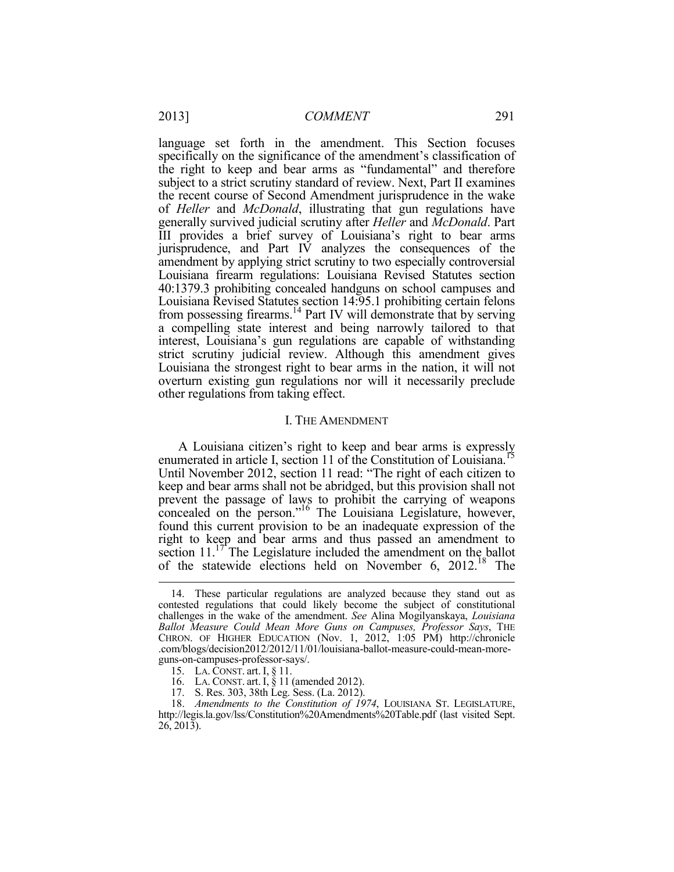language set forth in the amendment. This Section focuses specifically on the significance of the amendment's classification of the right to keep and bear arms as "fundamental" and therefore subject to a strict scrutiny standard of review. Next, Part II examines the recent course of Second Amendment jurisprudence in the wake of *Heller* and *McDonald*, illustrating that gun regulations have generally survived judicial scrutiny after *Heller* and *McDonald*. Part III provides a brief survey of Louisiana's right to bear arms jurisprudence, and Part IV analyzes the consequences of the amendment by applying strict scrutiny to two especially controversial Louisiana firearm regulations: Louisiana Revised Statutes section 40:1379.3 prohibiting concealed handguns on school campuses and Louisiana Revised Statutes section 14:95.1 prohibiting certain felons from possessing firearms.14 Part IV will demonstrate that by serving a compelling state interest and being narrowly tailored to that interest, Louisiana's gun regulations are capable of withstanding strict scrutiny judicial review. Although this amendment gives Louisiana the strongest right to bear arms in the nation, it will not overturn existing gun regulations nor will it necessarily preclude other regulations from taking effect.

#### I. THE AMENDMENT

A Louisiana citizen's right to keep and bear arms is expressly enumerated in article I, section 11 of the Constitution of Louisiana.<sup>15</sup> Until November 2012, section 11 read: "The right of each citizen to keep and bear arms shall not be abridged, but this provision shall not prevent the passage of laws to prohibit the carrying of weapons concealed on the person."16 The Louisiana Legislature, however, found this current provision to be an inadequate expression of the right to keep and bear arms and thus passed an amendment to section  $11$ .<sup>17</sup> The Legislature included the amendment on the ballot of the statewide elections held on November 6, 2012.<sup>18</sup> The

 <sup>14.</sup> These particular regulations are analyzed because they stand out as contested regulations that could likely become the subject of constitutional challenges in the wake of the amendment. *See* Alina Mogilyanskaya, *Louisiana Ballot Measure Could Mean More Guns on Campuses, Professor Says*, THE CHRON. OF HIGHER EDUCATION (Nov. 1, 2012, 1:05 PM) http://chronicle .com/blogs/decision2012/2012/11/01/louisiana-ballot-measure-could-mean-moreguns-on-campuses-professor-says/.

 <sup>15.</sup> LA. CONST. art. I, § 11.

 <sup>16.</sup> LA. CONST. art. I, § 11 (amended 2012).

 <sup>17.</sup> S. Res. 303, 38th Leg. Sess. (La. 2012).

 <sup>18.</sup> *Amendments to the Constitution of 1974*, LOUISIANA ST. LEGISLATURE, http://legis.la.gov/lss/Constitution%20Amendments%20Table.pdf (last visited Sept. 26, 2013).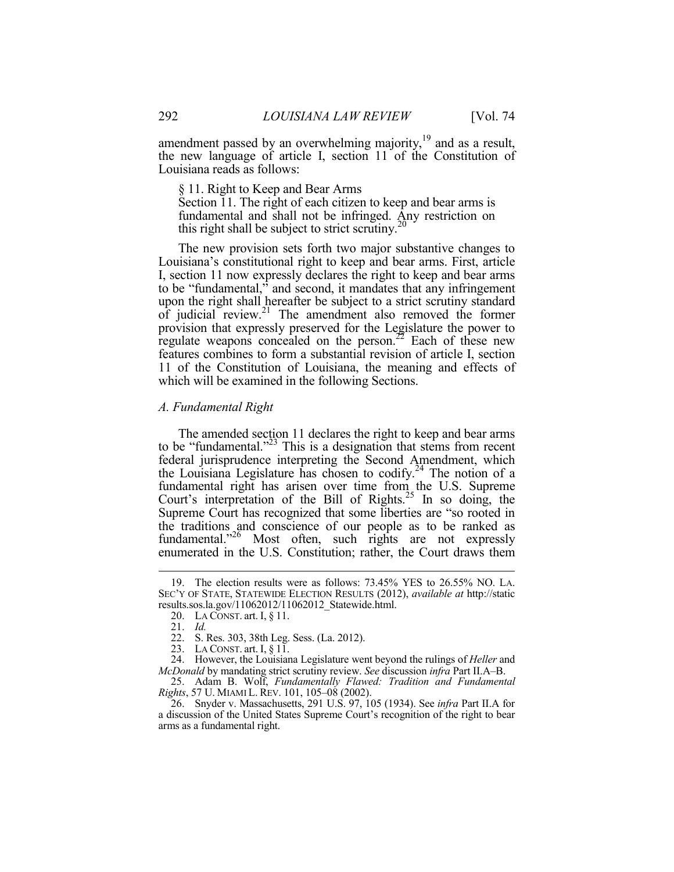amendment passed by an overwhelming majority, $19$  and as a result, the new language of article I, section 11 of the Constitution of Louisiana reads as follows:

§ 11. Right to Keep and Bear Arms

Section 11. The right of each citizen to keep and bear arms is fundamental and shall not be infringed. Any restriction on this right shall be subject to strict scrutiny.<sup>20</sup>

The new provision sets forth two major substantive changes to Louisiana's constitutional right to keep and bear arms. First, article I, section 11 now expressly declares the right to keep and bear arms to be "fundamental," and second, it mandates that any infringement upon the right shall hereafter be subject to a strict scrutiny standard of judicial review.<sup>21</sup> The amendment also removed the former provision that expressly preserved for the Legislature the power to regulate weapons concealed on the person.<sup>22</sup> Each of these new features combines to form a substantial revision of article I, section 11 of the Constitution of Louisiana, the meaning and effects of which will be examined in the following Sections.

#### *A. Fundamental Right*

The amended section 11 declares the right to keep and bear arms to be "fundamental."<sup>23</sup> This is a designation that stems from recent federal jurisprudence interpreting the Second Amendment, which the Louisiana Legislature has chosen to codify.<sup>24</sup> The notion of a fundamental right has arisen over time from the U.S. Supreme Court's interpretation of the Bill of Rights.<sup>25</sup> In so doing, the Supreme Court has recognized that some liberties are "so rooted in the traditions and conscience of our people as to be ranked as fundamental."<sup>26</sup> Most often, such rights are not expressly enumerated in the U.S. Constitution; rather, the Court draws them

 <sup>19.</sup> The election results were as follows: 73.45% YES to 26.55% NO. LA. SEC'Y OF STATE, STATEWIDE ELECTION RESULTS (2012), *available at* http://static results.sos.la.gov/11062012/11062012\_Statewide.html.

 <sup>20.</sup> LA CONST. art. I, § 11.

 <sup>21.</sup> *Id.*

 <sup>22.</sup> S. Res. 303, 38th Leg. Sess. (La. 2012).

 <sup>23.</sup> LA CONST. art. I, § 11.

 <sup>24.</sup> However, the Louisiana Legislature went beyond the rulings of *Heller* and *McDonald* by mandating strict scrutiny review. *See* discussion *infra* Part II.A–B.

 <sup>25.</sup> Adam B. Wolf, *Fundamentally Flawed: Tradition and Fundamental Rights*, 57 U. MIAMI L. REV. 101, 105–08 (2002).

 <sup>26.</sup> Snyder v. Massachusetts, 291 U.S. 97, 105 (1934). See *infra* Part II.A for a discussion of the United States Supreme Court's recognition of the right to bear arms as a fundamental right.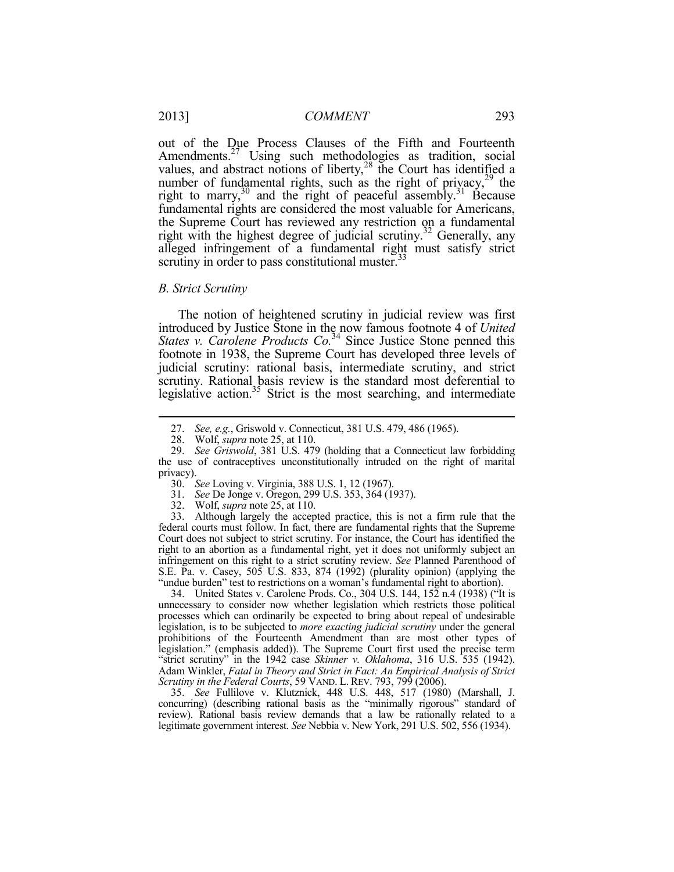out of the Due Process Clauses of the Fifth and Fourteenth Amendments.<sup>27</sup> Using such methodologies as tradition, social values, and abstract notions of liberty, $28$  the Court has identified a number of fundamental rights, such as the right of privacy, $^{29}$  the right to marry,<sup>30</sup> and the right of peaceful assembly.<sup>31</sup> Because fundamental rights are considered the most valuable for Americans, the Supreme Court has reviewed any restriction on a fundamental right with the highest degree of judicial scrutiny.<sup>32</sup> Generally, any alleged infringement of a fundamental right must satisfy strict scrutiny in order to pass constitutional muster.<sup>33</sup>

#### *B. Strict Scrutiny*

1

The notion of heightened scrutiny in judicial review was first introduced by Justice Stone in the now famous footnote 4 of *United States v. Carolene Products Co.*<sup>34</sup> Since Justice Stone penned this footnote in 1938, the Supreme Court has developed three levels of judicial scrutiny: rational basis, intermediate scrutiny, and strict scrutiny. Rational basis review is the standard most deferential to legislative action.<sup>35</sup> Strict is the most searching, and intermediate

 33. Although largely the accepted practice, this is not a firm rule that the federal courts must follow. In fact, there are fundamental rights that the Supreme Court does not subject to strict scrutiny. For instance, the Court has identified the right to an abortion as a fundamental right, yet it does not uniformly subject an infringement on this right to a strict scrutiny review. *See* Planned Parenthood of S.E. Pa. v. Casey, 505 U.S. 833, 874 (1992) (plurality opinion) (applying the "undue burden" test to restrictions on a woman's fundamental right to abortion).

 34. United States v. Carolene Prods. Co., 304 U.S. 144, 152 n.4 (1938) ("It is unnecessary to consider now whether legislation which restricts those political processes which can ordinarily be expected to bring about repeal of undesirable legislation, is to be subjected to *more exacting judicial scrutiny* under the general prohibitions of the Fourteenth Amendment than are most other types of legislation." (emphasis added)). The Supreme Court first used the precise term "strict scrutiny" in the 1942 case *Skinner v. Oklahoma*, 316 U.S. 535 (1942). Adam Winkler, *Fatal in Theory and Strict in Fact: An Empirical Analysis of Strict Scrutiny in the Federal Courts*, 59 VAND. L. REV. 793, 799 (2006).

 35. *See* Fullilove v. Klutznick, 448 U.S. 448, 517 (1980) (Marshall, J. concurring) (describing rational basis as the "minimally rigorous" standard of review). Rational basis review demands that a law be rationally related to a legitimate government interest. *See* Nebbia v. New York, 291 U.S. 502, 556 (1934).

 <sup>27.</sup> *See, e.g.*, Griswold v. Connecticut, 381 U.S. 479, 486 (1965).

 <sup>28.</sup> Wolf, *supra* note 25, at 110.

 <sup>29.</sup> *See Griswold*, 381 U.S. 479 (holding that a Connecticut law forbidding the use of contraceptives unconstitutionally intruded on the right of marital privacy).

 <sup>30.</sup> *See* Loving v. Virginia, 388 U.S. 1, 12 (1967).

 <sup>31.</sup> *See* De Jonge v. Oregon, 299 U.S. 353, 364 (1937).

 <sup>32.</sup> Wolf, *supra* note 25, at 110.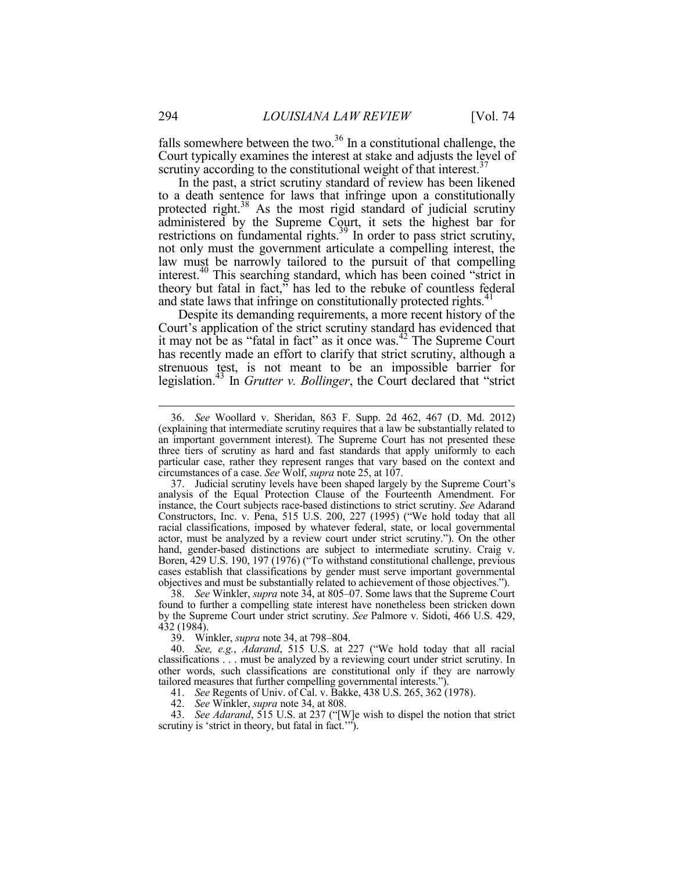falls somewhere between the two. $36$  In a constitutional challenge, the Court typically examines the interest at stake and adjusts the level of scrutiny according to the constitutional weight of that interest.<sup>37</sup>

In the past, a strict scrutiny standard of review has been likened to a death sentence for laws that infringe upon a constitutionally protected right.<sup>38</sup> As the most rigid standard of judicial scrutiny administered by the Supreme Court, it sets the highest bar for restrictions on fundamental rights.<sup>39</sup> In order to pass strict scrutiny, not only must the government articulate a compelling interest, the law must be narrowly tailored to the pursuit of that compelling interest.<sup>40</sup> This searching standard, which has been coined "strict in theory but fatal in fact, $\overline{a}$  has led to the rebuke of countless federal and state laws that infringe on constitutionally protected rights.<sup>41</sup>

Despite its demanding requirements, a more recent history of the Court's application of the strict scrutiny standard has evidenced that it may not be as "fatal in fact" as it once was.42 The Supreme Court has recently made an effort to clarify that strict scrutiny, although a strenuous test, is not meant to be an impossible barrier for legislation.43 In *Grutter v. Bollinger*, the Court declared that "strict

 38. *See* Winkler, *supra* note 34, at 805–07. Some laws that the Supreme Court found to further a compelling state interest have nonetheless been stricken down by the Supreme Court under strict scrutiny. *See* Palmore v. Sidoti, 466 U.S. 429, 432 (1984).

39. Winkler, *supra* note 34, at 798–804.

 40. *See, e.g.*, *Adarand*, 515 U.S. at 227 ("We hold today that all racial classifications . . . must be analyzed by a reviewing court under strict scrutiny. In other words, such classifications are constitutional only if they are narrowly tailored measures that further compelling governmental interests.").

41. *See* Regents of Univ. of Cal. v. Bakke, 438 U.S. 265, 362 (1978).

42. *See* Winkler, *supra* note 34, at 808.

 43. *See Adarand*, 515 U.S. at 237 ("[W]e wish to dispel the notion that strict scrutiny is 'strict in theory, but fatal in fact.'").

 <sup>36.</sup> *See* Woollard v. Sheridan, 863 F. Supp. 2d 462, 467 (D. Md. 2012) (explaining that intermediate scrutiny requires that a law be substantially related to an important government interest). The Supreme Court has not presented these three tiers of scrutiny as hard and fast standards that apply uniformly to each particular case, rather they represent ranges that vary based on the context and circumstances of a case. *See* Wolf, *supra* note 25, at 107.

 <sup>37.</sup> Judicial scrutiny levels have been shaped largely by the Supreme Court's analysis of the Equal Protection Clause of the Fourteenth Amendment. For instance, the Court subjects race-based distinctions to strict scrutiny. *See* Adarand Constructors, Inc. v. Pena, 515 U.S. 200, 227 (1995) ("We hold today that all racial classifications, imposed by whatever federal, state, or local governmental actor, must be analyzed by a review court under strict scrutiny."). On the other hand, gender-based distinctions are subject to intermediate scrutiny. Craig v. Boren, 429 U.S. 190, 197 (1976) ("To withstand constitutional challenge, previous cases establish that classifications by gender must serve important governmental objectives and must be substantially related to achievement of those objectives.").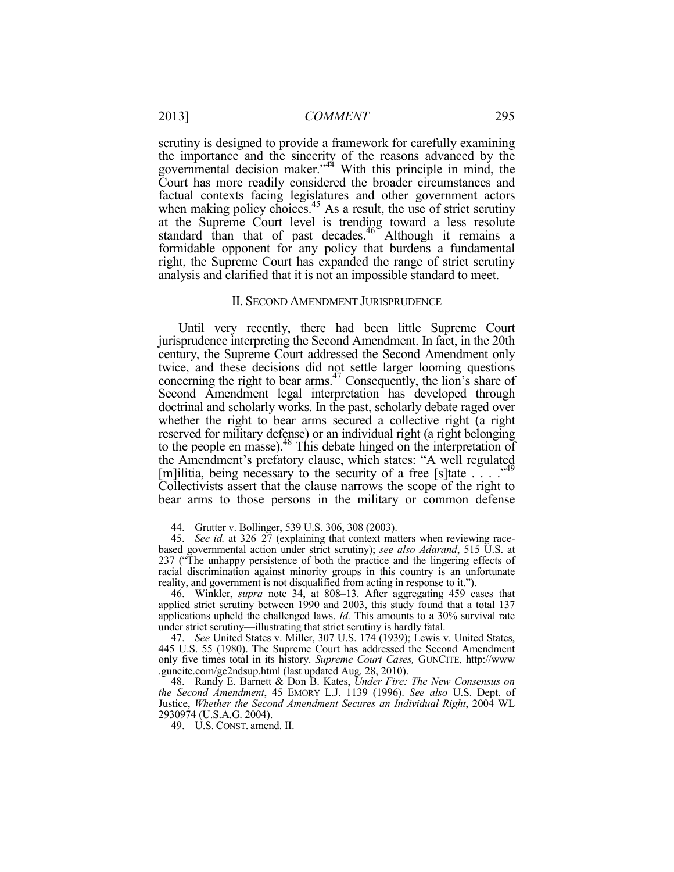scrutiny is designed to provide a framework for carefully examining the importance and the sincerity of the reasons advanced by the governmental decision maker."<sup>44</sup> With this principle in mind, the Court has more readily considered the broader circumstances and factual contexts facing legislatures and other government actors when making policy choices.<sup>45</sup> As a result, the use of strict scrutiny at the Supreme Court level is trending toward a less resolute standard than that of past decades.<sup>46</sup> Although it remains a formidable opponent for any policy that burdens a fundamental right, the Supreme Court has expanded the range of strict scrutiny analysis and clarified that it is not an impossible standard to meet.

#### II. SECOND AMENDMENT JURISPRUDENCE

Until very recently, there had been little Supreme Court jurisprudence interpreting the Second Amendment. In fact, in the 20th century, the Supreme Court addressed the Second Amendment only twice, and these decisions did not settle larger looming questions concerning the right to bear arms. $47$  Consequently, the lion's share of Second Amendment legal interpretation has developed through doctrinal and scholarly works. In the past, scholarly debate raged over whether the right to bear arms secured a collective right (a right reserved for military defense) or an individual right (a right belonging to the people en masse).<sup>48</sup> This debate hinged on the interpretation of the Amendment's prefatory clause, which states: "A well regulated [m]ilitia, being necessary to the security of a free [s]tate . . . . "<sup>49</sup> Collectivists assert that the clause narrows the scope of the right to bear arms to those persons in the military or common defense

 <sup>44.</sup> Grutter v. Bollinger, 539 U.S. 306, 308 (2003).

 <sup>45.</sup> *See id.* at 326–27 (explaining that context matters when reviewing racebased governmental action under strict scrutiny); *see also Adarand*, 515 U.S. at 237 ("The unhappy persistence of both the practice and the lingering effects of racial discrimination against minority groups in this country is an unfortunate reality, and government is not disqualified from acting in response to it.").

 <sup>46.</sup> Winkler, *supra* note 34, at 808–13. After aggregating 459 cases that applied strict scrutiny between 1990 and 2003, this study found that a total 137 applications upheld the challenged laws. *Id.* This amounts to a 30% survival rate under strict scrutiny—illustrating that strict scrutiny is hardly fatal.

 <sup>47.</sup> *See* United States v. Miller, 307 U.S. 174 (1939); Lewis v. United States, 445 U.S. 55 (1980). The Supreme Court has addressed the Second Amendment only five times total in its history. *Supreme Court Cases,* GUNCITE, http://www .guncite.com/gc2ndsup.html (last updated Aug. 28, 2010).

 <sup>48.</sup> Randy E. Barnett & Don B. Kates, *Under Fire: The New Consensus on the Second Amendment*, 45 EMORY L.J. 1139 (1996). *See also* U.S. Dept. of Justice, *Whether the Second Amendment Secures an Individual Right*, 2004 WL 2930974 (U.S.A.G. 2004).

 <sup>49.</sup> U.S. CONST. amend. II.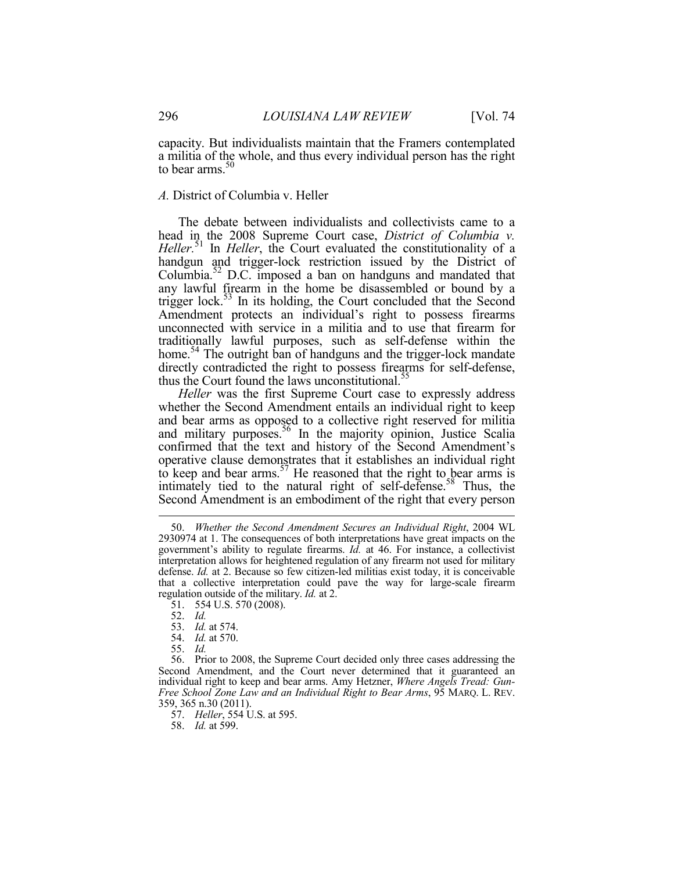capacity. But individualists maintain that the Framers contemplated a militia of the whole, and thus every individual person has the right to bear arms.<sup>50</sup>

# *A.* District of Columbia v. Heller

The debate between individualists and collectivists came to a head in the 2008 Supreme Court case, *District of Columbia v. Heller.*51 In *Heller*, the Court evaluated the constitutionality of a handgun and trigger-lock restriction issued by the District of Columbia.52 D.C. imposed a ban on handguns and mandated that any lawful firearm in the home be disassembled or bound by a trigger lock.<sup>53</sup> In its holding, the Court concluded that the Second Amendment protects an individual's right to possess firearms unconnected with service in a militia and to use that firearm for traditionally lawful purposes, such as self-defense within the home.<sup>54</sup> The outright ban of handguns and the trigger-lock mandate directly contradicted the right to possess firearms for self-defense, thus the Court found the laws unconstitutional.<sup>55</sup>

*Heller* was the first Supreme Court case to expressly address whether the Second Amendment entails an individual right to keep and bear arms as opposed to a collective right reserved for militia and military purposes.<sup>56</sup> In the majority opinion, Justice Scalia confirmed that the text and history of the Second Amendment's operative clause demonstrates that it establishes an individual right to keep and bear arms.<sup>57</sup> He reasoned that the right to bear arms is intimately tied to the natural right of self-defense.<sup>58</sup> Thus, the Second Amendment is an embodiment of the right that every person

1

 56. Prior to 2008, the Supreme Court decided only three cases addressing the Second Amendment, and the Court never determined that it guaranteed an individual right to keep and bear arms. Amy Hetzner, *Where Angels Tread: Gun-Free School Zone Law and an Individual Right to Bear Arms*, 95 MARQ. L. REV. 359, 365 n.30 (2011).

57. *Heller*, 554 U.S. at 595.

58. *Id.* at 599.

 <sup>50.</sup> *Whether the Second Amendment Secures an Individual Right*, 2004 WL 2930974 at 1. The consequences of both interpretations have great impacts on the government's ability to regulate firearms. *Id.* at 46. For instance, a collectivist interpretation allows for heightened regulation of any firearm not used for military defense. *Id.* at 2. Because so few citizen-led militias exist today, it is conceivable that a collective interpretation could pave the way for large-scale firearm regulation outside of the military. *Id.* at 2.

 <sup>51. 554</sup> U.S. 570 (2008).

 <sup>52.</sup> *Id.*

 <sup>53.</sup> *Id.* at 574.

 <sup>54.</sup> *Id.* at 570.

 <sup>55.</sup> *Id.*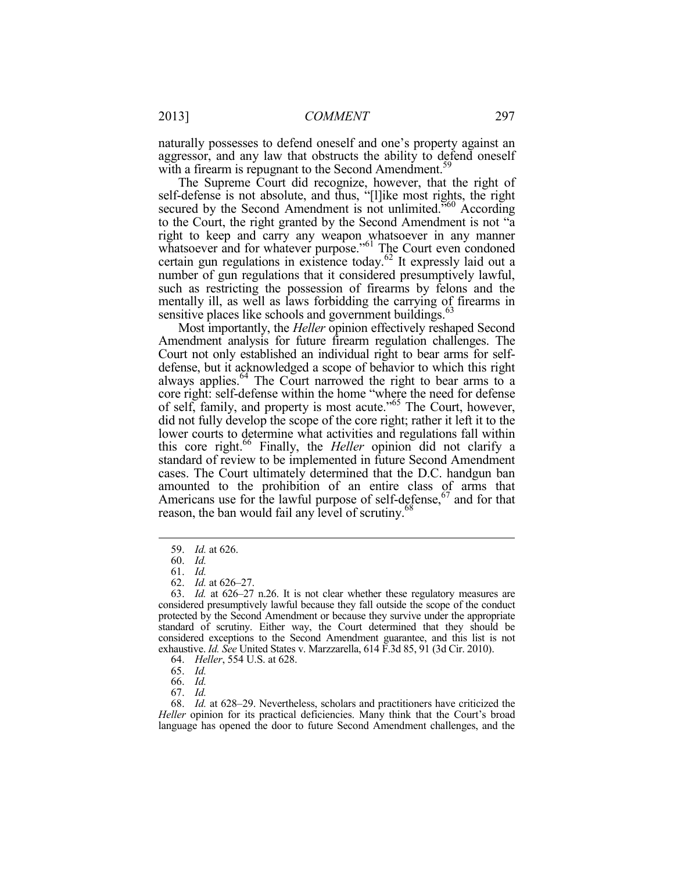naturally possesses to defend oneself and one's property against an aggressor, and any law that obstructs the ability to defend oneself with a firearm is repugnant to the Second Amendment.<sup>59</sup>

The Supreme Court did recognize, however, that the right of self-defense is not absolute, and thus, "[l]ike most rights, the right secured by the Second Amendment is not unlimited.<sup>560</sup> According to the Court, the right granted by the Second Amendment is not "a right to keep and carry any weapon whatsoever in any manner whatsoever and for whatever purpose."<sup>61</sup> The Court even condoned certain gun regulations in existence today.<sup>62</sup> It expressly laid out a number of gun regulations that it considered presumptively lawful, such as restricting the possession of firearms by felons and the mentally ill, as well as laws forbidding the carrying of firearms in sensitive places like schools and government buildings.<sup>63</sup>

Most importantly, the *Heller* opinion effectively reshaped Second Amendment analysis for future firearm regulation challenges. The Court not only established an individual right to bear arms for selfdefense, but it acknowledged a scope of behavior to which this right always applies.<sup>64</sup> The Court narrowed the right to bear arms to a core right: self-defense within the home "where the need for defense of self, family, and property is most acute."65 The Court, however, did not fully develop the scope of the core right; rather it left it to the lower courts to determine what activities and regulations fall within this core right.66 Finally, the *Heller* opinion did not clarify a standard of review to be implemented in future Second Amendment cases. The Court ultimately determined that the D.C. handgun ban amounted to the prohibition of an entire class of arms that Americans use for the lawful purpose of self-defense,  $67$  and for that reason, the ban would fail any level of scrutiny.<sup>68</sup>

 <sup>59.</sup> *Id.* at 626.

 <sup>60.</sup> *Id.*

 <sup>61.</sup> *Id.*

 <sup>62.</sup> *Id.* at 626–27.

 <sup>63.</sup> *Id.* at 626–27 n.26. It is not clear whether these regulatory measures are considered presumptively lawful because they fall outside the scope of the conduct protected by the Second Amendment or because they survive under the appropriate standard of scrutiny. Either way, the Court determined that they should be considered exceptions to the Second Amendment guarantee, and this list is not exhaustive. *Id. See* United States v. Marzzarella, 614 F.3d 85, 91 (3d Cir. 2010).

 <sup>64.</sup> *Heller*, 554 U.S. at 628.

 <sup>65.</sup> *Id.*

 <sup>66.</sup> *Id.*

 <sup>67.</sup> *Id.*

 <sup>68.</sup> *Id.* at 628–29. Nevertheless, scholars and practitioners have criticized the *Heller* opinion for its practical deficiencies. Many think that the Court's broad language has opened the door to future Second Amendment challenges, and the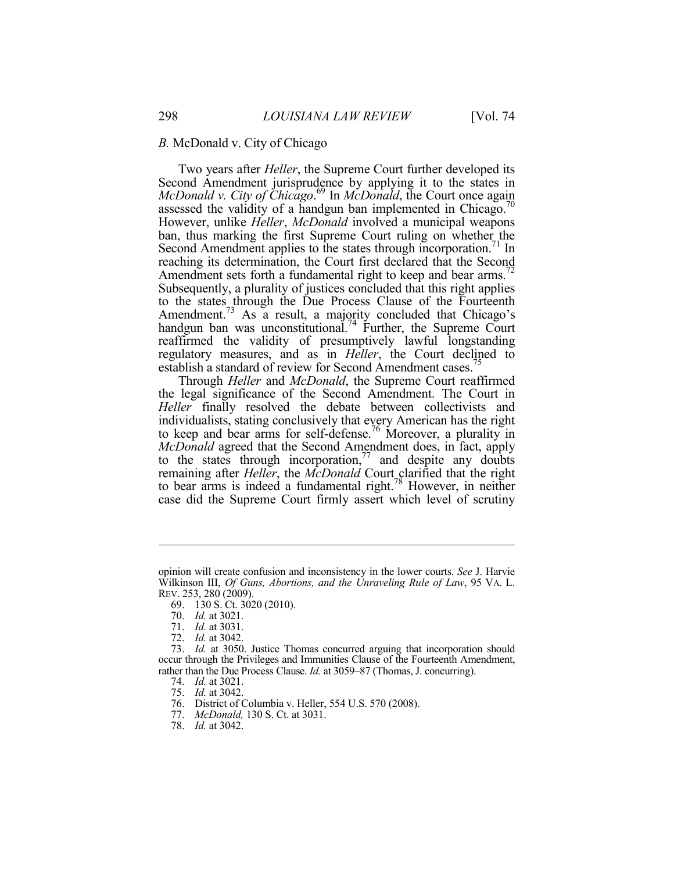# *B.* McDonald v. City of Chicago

Two years after *Heller*, the Supreme Court further developed its Second Amendment jurisprudence by applying it to the states in *McDonald v. City of Chicago*. 69 In *McDonald*, the Court once again assessed the validity of a handgun ban implemented in Chicago.<sup>70</sup> However, unlike *Heller*, *McDonald* involved a municipal weapons ban, thus marking the first Supreme Court ruling on whether the Second Amendment applies to the states through incorporation.<sup>71</sup> In reaching its determination, the Court first declared that the Second Amendment sets forth a fundamental right to keep and bear arms.<sup>72</sup> Subsequently, a plurality of justices concluded that this right applies to the states through the Due Process Clause of the Fourteenth Amendment.<sup>73</sup> As a result, a majority concluded that Chicago's handgun ban was unconstitutional.<sup>74</sup> Further, the Supreme Court reaffirmed the validity of presumptively lawful longstanding regulatory measures, and as in *Heller*, the Court declined to establish a standard of review for Second Amendment cases.<sup>75</sup>

Through *Heller* and *McDonald*, the Supreme Court reaffirmed the legal significance of the Second Amendment. The Court in *Heller* finally resolved the debate between collectivists and individualists, stating conclusively that every American has the right to keep and bear arms for self-defense.<sup>76</sup> Moreover, a plurality in *McDonald* agreed that the Second Amendment does, in fact, apply to the states through incorporation, $\frac{7}{7}$  and despite any doubts remaining after *Heller*, the *McDonald* Court clarified that the right to bear arms is indeed a fundamental right.78 However, in neither case did the Supreme Court firmly assert which level of scrutiny

opinion will create confusion and inconsistency in the lower courts. *See* J. Harvie Wilkinson III, *Of Guns, Abortions, and the Unraveling Rule of Law*, 95 VA. L. REV. 253, 280 (2009).

 <sup>69. 130</sup> S. Ct. 3020 (2010).

 <sup>70.</sup> *Id.* at 3021.

 <sup>71.</sup> *Id.* at 3031.

 <sup>72.</sup> *Id.* at 3042.

 <sup>73.</sup> *Id.* at 3050. Justice Thomas concurred arguing that incorporation should occur through the Privileges and Immunities Clause of the Fourteenth Amendment, rather than the Due Process Clause. *Id.* at 3059–87 (Thomas, J. concurring).

 <sup>74.</sup> *Id.* at 3021.

 <sup>75.</sup> *Id.* at 3042.

 <sup>76.</sup> District of Columbia v. Heller, 554 U.S. 570 (2008).

 <sup>77.</sup> *McDonald,* 130 S. Ct. at 3031.

 <sup>78.</sup> *Id.* at 3042.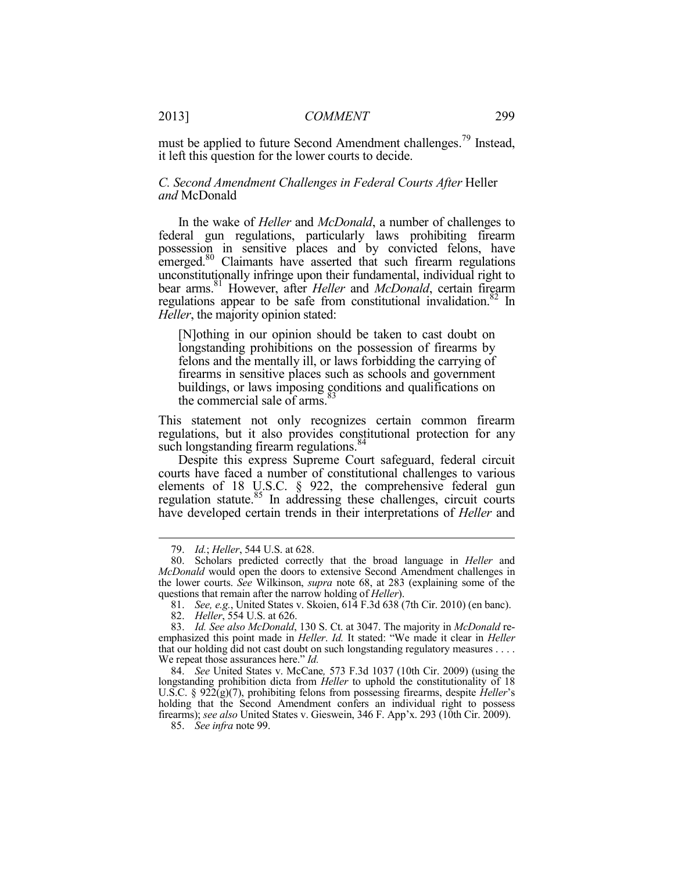must be applied to future Second Amendment challenges.<sup>79</sup> Instead, it left this question for the lower courts to decide.

# *C. Second Amendment Challenges in Federal Courts After* Heller *and* McDonald

In the wake of *Heller* and *McDonald*, a number of challenges to federal gun regulations, particularly laws prohibiting firearm possession in sensitive places and by convicted felons, have emerged.<sup>80</sup> Claimants have asserted that such firearm regulations unconstitutionally infringe upon their fundamental, individual right to bear arms.<sup>81</sup> However, after *Heller* and *McDonald*, certain firearm regulations appear to be safe from constitutional invalidation.<sup>82</sup> In *Heller*, the majority opinion stated:

[N]othing in our opinion should be taken to cast doubt on longstanding prohibitions on the possession of firearms by felons and the mentally ill, or laws forbidding the carrying of firearms in sensitive places such as schools and government buildings, or laws imposing conditions and qualifications on the commercial sale of arms.<sup>83</sup>

This statement not only recognizes certain common firearm regulations, but it also provides constitutional protection for any such longstanding firearm regulations.<sup>84</sup>

Despite this express Supreme Court safeguard, federal circuit courts have faced a number of constitutional challenges to various elements of 18 U.S.C. § 922, the comprehensive federal gun regulation statute.<sup>85</sup> In addressing these challenges, circuit courts have developed certain trends in their interpretations of *Heller* and

 <sup>79.</sup> *Id.*; *Heller*, 544 U.S. at 628.

 <sup>80.</sup> Scholars predicted correctly that the broad language in *Heller* and *McDonald* would open the doors to extensive Second Amendment challenges in the lower courts. *See* Wilkinson, *supra* note 68, at 283 (explaining some of the questions that remain after the narrow holding of *Heller*).

 <sup>81.</sup> *See, e.g.*, United States v. Skoien, 614 F.3d 638 (7th Cir. 2010) (en banc).

 <sup>82.</sup> *Heller*, 554 U.S. at 626.

 <sup>83.</sup> *Id. See also McDonald*, 130 S. Ct. at 3047. The majority in *McDonald* reemphasized this point made in *Heller*. *Id.* It stated: "We made it clear in *Heller* that our holding did not cast doubt on such longstanding regulatory measures . . . . We repeat those assurances here." *Id.*

 <sup>84.</sup> *See* United States v. McCane*,* 573 F.3d 1037 (10th Cir. 2009) (using the longstanding prohibition dicta from *Heller* to uphold the constitutionality of 18 U.S.C. § 922(g)(7), prohibiting felons from possessing firearms, despite *Heller*'s holding that the Second Amendment confers an individual right to possess firearms); *see also* United States v. Gieswein, 346 F. App'x. 293 (10th Cir. 2009).

 <sup>85.</sup> *See infra* note 99.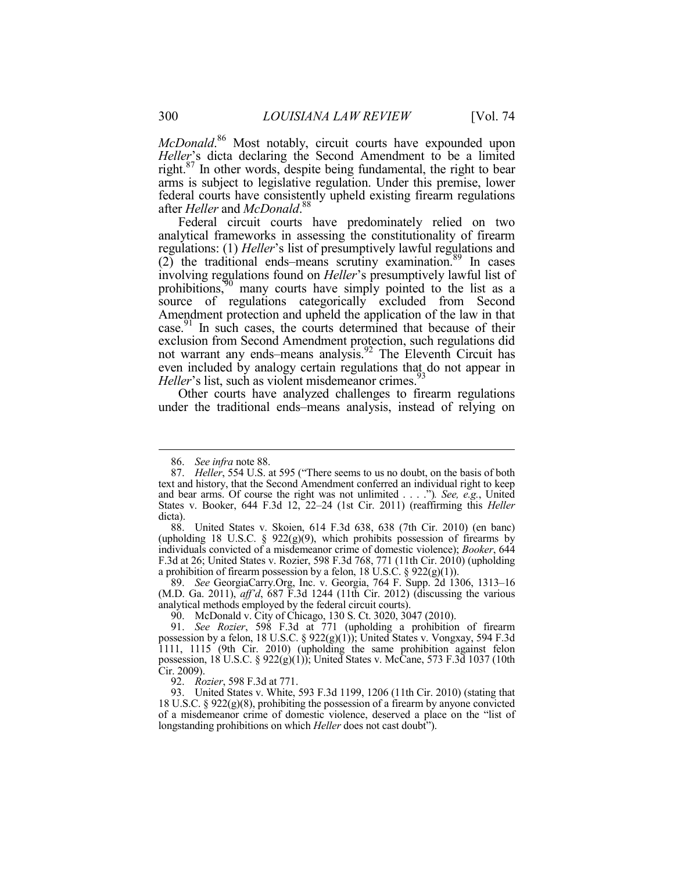*McDonald*. 86 Most notably, circuit courts have expounded upon *Heller*'s dicta declaring the Second Amendment to be a limited right.<sup>87</sup> In other words, despite being fundamental, the right to bear arms is subject to legislative regulation. Under this premise, lower federal courts have consistently upheld existing firearm regulations after *Heller* and *McDonald*. 88

Federal circuit courts have predominately relied on two analytical frameworks in assessing the constitutionality of firearm regulations: (1) *Heller*'s list of presumptively lawful regulations and  $(2)$  the traditional ends–means scrutiny examination.<sup>89</sup> In cases involving regulations found on *Heller*'s presumptively lawful list of prohibitions, $90$  many courts have simply pointed to the list as a source of regulations categorically excluded from Second Amendment protection and upheld the application of the law in that case.91 In such cases, the courts determined that because of their exclusion from Second Amendment protection, such regulations did not warrant any ends–means analysis.92 The Eleventh Circuit has even included by analogy certain regulations that do not appear in *Heller*'s list, such as violent misdemeanor crimes.<sup>93</sup>

Other courts have analyzed challenges to firearm regulations under the traditional ends–means analysis, instead of relying on

1

 89. *See* GeorgiaCarry.Org, Inc. v. Georgia, 764 F. Supp. 2d 1306, 1313–16 (M.D. Ga. 2011), *aff'd*, 687 F.3d 1244 (11th Cir. 2012) (discussing the various analytical methods employed by the federal circuit courts).

90. McDonald v. City of Chicago, 130 S. Ct. 3020, 3047 (2010).

92. *Rozier*, 598 F.3d at 771.

 93. United States v. White, 593 F.3d 1199, 1206 (11th Cir. 2010) (stating that 18 U.S.C. § 922(g)(8), prohibiting the possession of a firearm by anyone convicted of a misdemeanor crime of domestic violence, deserved a place on the "list of longstanding prohibitions on which *Heller* does not cast doubt").

 <sup>86.</sup> *See infra* note 88.

 <sup>87.</sup> *Heller*, 554 U.S. at 595 ("There seems to us no doubt, on the basis of both text and history, that the Second Amendment conferred an individual right to keep and bear arms. Of course the right was not unlimited . . . .")*. See, e.g.*, United States v. Booker, 644 F.3d 12, 22–24 (1st Cir. 2011) (reaffirming this *Heller* dicta).

 <sup>88.</sup> United States v. Skoien, 614 F.3d 638, 638 (7th Cir. 2010) (en banc) (upholding 18 U.S.C. §  $922(g)(9)$ , which prohibits possession of firearms by individuals convicted of a misdemeanor crime of domestic violence); *Booker*, 644 F.3d at 26; United States v. Rozier, 598 F.3d 768, 771 (11th Cir. 2010) (upholding a prohibition of firearm possession by a felon,  $18 \text{ U.S. C. }$  § 922(g)(1)).

 <sup>91.</sup> *See Rozier*, 598 F.3d at 771 (upholding a prohibition of firearm possession by a felon, 18 U.S.C. § 922(g)(1)); United States v. Vongxay, 594 F.3d 1111, 1115 (9th Cir. 2010) (upholding the same prohibition against felon possession, 18 U.S.C. § 922(g)(1)); United States v. McCane, 573 F.3d 1037 (10th Cir. 2009).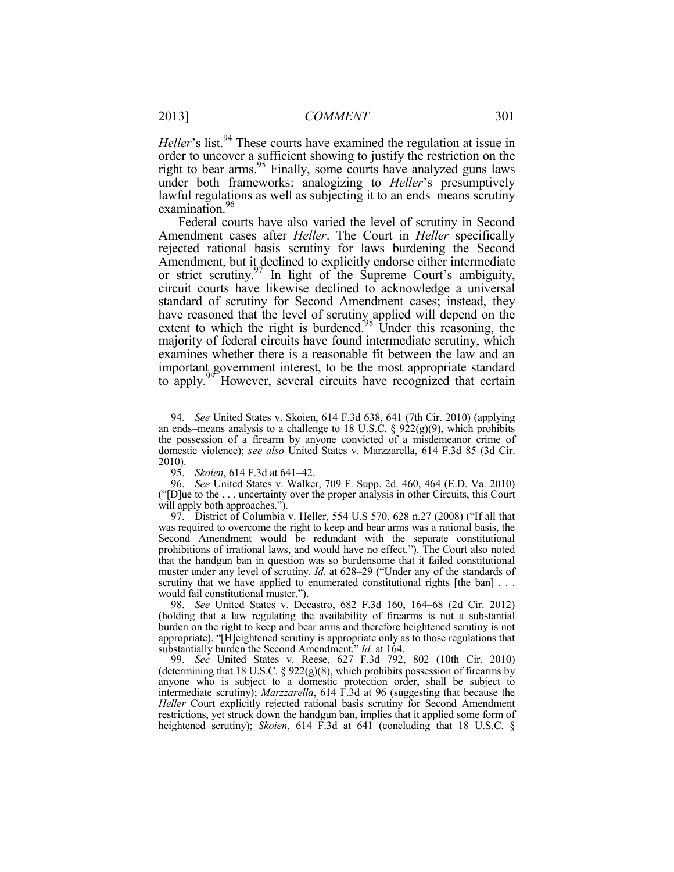*Heller*'s list.<sup>94</sup> These courts have examined the regulation at issue in order to uncover a sufficient showing to justify the restriction on the right to bear arms.<sup>95</sup> Finally, some courts have analyzed guns laws under both frameworks: analogizing to *Heller*'s presumptively lawful regulations as well as subjecting it to an ends–means scrutiny examination.<sup>96</sup>

Federal courts have also varied the level of scrutiny in Second Amendment cases after *Heller*. The Court in *Heller* specifically rejected rational basis scrutiny for laws burdening the Second Amendment, but it declined to explicitly endorse either intermediate or strict scrutiny.<sup>97</sup> In light of the Supreme Court's ambiguity, circuit courts have likewise declined to acknowledge a universal standard of scrutiny for Second Amendment cases; instead, they have reasoned that the level of scrutiny applied will depend on the extent to which the right is burdened.<sup>98</sup> Under this reasoning, the majority of federal circuits have found intermediate scrutiny, which examines whether there is a reasonable fit between the law and an important government interest, to be the most appropriate standard to apply.<sup>99</sup> However, several circuits have recognized that certain

 97. District of Columbia v. Heller, 554 U.S 570, 628 n.27 (2008) ("If all that was required to overcome the right to keep and bear arms was a rational basis, the Second Amendment would be redundant with the separate constitutional prohibitions of irrational laws, and would have no effect."). The Court also noted that the handgun ban in question was so burdensome that it failed constitutional muster under any level of scrutiny. *Id.* at 628–29 ("Under any of the standards of scrutiny that we have applied to enumerated constitutional rights [the ban] . . . would fail constitutional muster.").

 98. *See* United States v. Decastro, 682 F.3d 160, 164–68 (2d Cir. 2012) (holding that a law regulating the availability of firearms is not a substantial burden on the right to keep and bear arms and therefore heightened scrutiny is not appropriate). "[H]eightened scrutiny is appropriate only as to those regulations that substantially burden the Second Amendment." *Id.* at 164.

 99. *See* United States v. Reese, 627 F.3d 792, 802 (10th Cir. 2010) (determining that 18 U.S.C.  $\S$  922(g)(8), which prohibits possession of firearms by anyone who is subject to a domestic protection order, shall be subject to intermediate scrutiny); *Marzzarella*, 614 F.3d at 96 (suggesting that because the *Heller* Court explicitly rejected rational basis scrutiny for Second Amendment restrictions, yet struck down the handgun ban, implies that it applied some form of heightened scrutiny); *Skoien*, 614 F.3d at 641 (concluding that 18 U.S.C. §

 <sup>94.</sup> *See* United States v. Skoien, 614 F.3d 638, 641 (7th Cir. 2010) (applying an ends–means analysis to a challenge to 18 U.S.C.  $\S$  922(g)(9), which prohibits the possession of a firearm by anyone convicted of a misdemeanor crime of domestic violence); *see also* United States v. Marzzarella, 614 F.3d 85 (3d Cir. 2010).

 <sup>95.</sup> *Skoien*, 614 F.3d at 641–42.

 <sup>96.</sup> *See* United States v. Walker, 709 F. Supp. 2d. 460, 464 (E.D. Va. 2010) ("[D]ue to the . . . uncertainty over the proper analysis in other Circuits, this Court will apply both approaches.").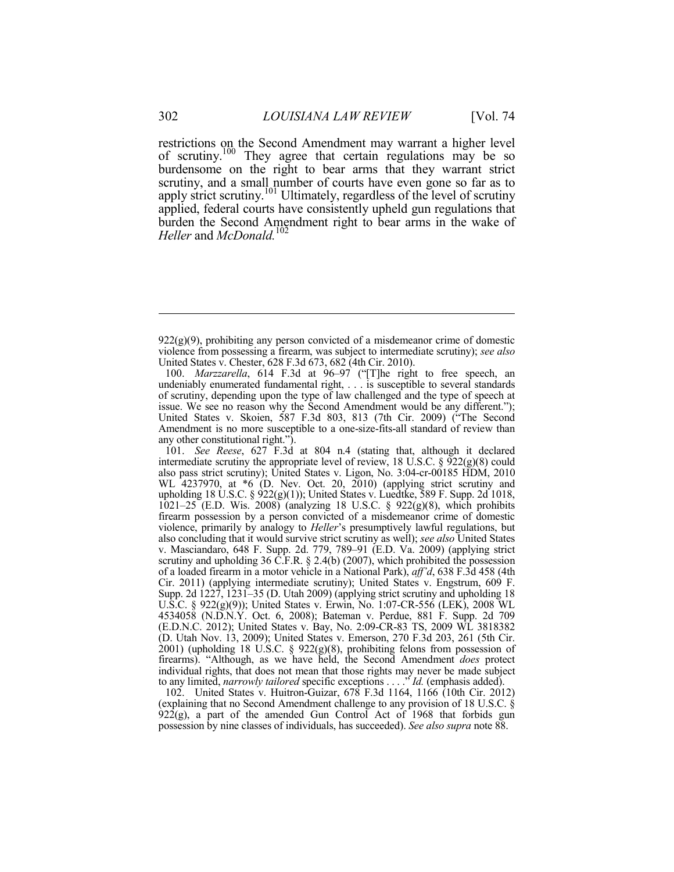restrictions on the Second Amendment may warrant a higher level of scrutiny.<sup>100</sup> They agree that certain regulations may be so burdensome on the right to bear arms that they warrant strict scrutiny, and a small number of courts have even gone so far as to apply strict scrutiny.<sup>101</sup> Ultimately, regardless of the level of scrutiny applied, federal courts have consistently upheld gun regulations that burden the Second Amendment right to bear arms in the wake of *Heller* and *McDonald.*<sup>102</sup>

 101. *See Reese*, 627 F.3d at 804 n.4 (stating that, although it declared intermediate scrutiny the appropriate level of review, 18 U.S.C.  $\S$  922(g)(8) could also pass strict scrutiny); United States v. Ligon, No. 3:04-cr-00185 HDM, 2010 WL 4237970, at \*6 (D. Nev. Oct. 20, 2010) (applying strict scrutiny and upholding 18 U.S.C. § 922(g)(1)); United States v. Luedtke, 589 F. Supp. 2d 1018, 1021–25 (E.D. Wis. 2008) (analyzing 18 U.S.C. § 922(g)(8), which prohibits firearm possession by a person convicted of a misdemeanor crime of domestic violence, primarily by analogy to *Heller*'s presumptively lawful regulations, but also concluding that it would survive strict scrutiny as well); *see also* United States v. Masciandaro, 648 F. Supp. 2d. 779, 789–91 (E.D. Va. 2009) (applying strict scrutiny and upholding 36 C.F.R. § 2.4(b) (2007), which prohibited the possession of a loaded firearm in a motor vehicle in a National Park), *aff'd*, 638 F.3d 458 (4th Cir. 2011) (applying intermediate scrutiny); United States v. Engstrum, 609 F. Supp. 2d 1227, 1231–35 (D. Utah 2009) (applying strict scrutiny and upholding 18 U.S.C. § 922(g)(9)); United States v. Erwin, No. 1:07-CR-556 (LEK), 2008 WL 4534058 (N.D.N.Y. Oct. 6, 2008); Bateman v. Perdue, 881 F. Supp. 2d 709 (E.D.N.C. 2012); United States v. Bay, No. 2:09-CR-83 TS, 2009 WL 3818382 (D. Utah Nov. 13, 2009); United States v. Emerson, 270 F.3d 203, 261 (5th Cir.  $2001$ ) (upholding 18 U.S.C. § 922(g)(8), prohibiting felons from possession of firearms). "Although, as we have held, the Second Amendment *does* protect individual rights, that does not mean that those rights may never be made subject to any limited, *narrowly tailored* specific exceptions . . . ." *Id.* (emphasis added).

 102. United States v. Huitron-Guizar, 678 F.3d 1164, 1166 (10th Cir. 2012) (explaining that no Second Amendment challenge to any provision of 18 U.S.C. §  $922(g)$ , a part of the amended Gun Control Act of 1968 that forbids gun possession by nine classes of individuals, has succeeded). *See also supra* note 88.

 $922(g)(9)$ , prohibiting any person convicted of a misdemeanor crime of domestic violence from possessing a firearm, was subject to intermediate scrutiny); *see also* United States v. Chester, 628 F.3d 673, 682 (4th Cir. 2010).

 <sup>100.</sup> *Marzzarella*, 614 F.3d at 96–97 ("[T]he right to free speech, an undeniably enumerated fundamental right, . . . is susceptible to several standards of scrutiny, depending upon the type of law challenged and the type of speech at issue. We see no reason why the Second Amendment would be any different."); United States v. Skoien, 587 F.3d 803, 813 (7th Cir. 2009) ("The Second Amendment is no more susceptible to a one-size-fits-all standard of review than any other constitutional right.").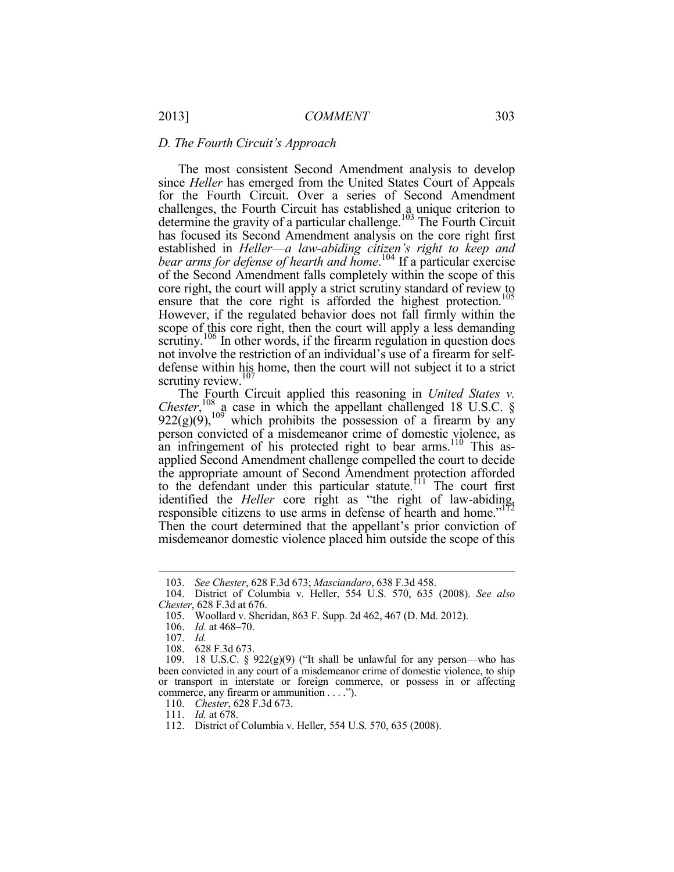# *D. The Fourth Circuit's Approach*

The most consistent Second Amendment analysis to develop since *Heller* has emerged from the United States Court of Appeals for the Fourth Circuit. Over a series of Second Amendment challenges, the Fourth Circuit has established a unique criterion to determine the gravity of a particular challenge.<sup>103</sup> The Fourth Circuit has focused its Second Amendment analysis on the core right first established in *Heller*—*a law-abiding citizen's right to keep and bear arms for defense of hearth and home*. 104 If a particular exercise of the Second Amendment falls completely within the scope of this core right, the court will apply a strict scrutiny standard of review to ensure that the core right is afforded the highest protection.<sup>105</sup> However, if the regulated behavior does not fall firmly within the scope of this core right, then the court will apply a less demanding scrutiny.<sup>106</sup> In other words, if the firearm regulation in question does not involve the restriction of an individual's use of a firearm for selfdefense within his home, then the court will not subject it to a strict scrutiny review.<sup>107</sup>

The Fourth Circuit applied this reasoning in *United States v. Chester*,  $^{108}$  a case in which the appellant challenged 18 U.S.C. §  $922(g)(9)$ ,<sup>109</sup> which prohibits the possession of a firearm by any person convicted of a misdemeanor crime of domestic violence, as an infringement of his protected right to bear arms.<sup>110</sup> This asapplied Second Amendment challenge compelled the court to decide the appropriate amount of Second Amendment protection afforded to the defendant under this particular statute.<sup>111</sup> The court first identified the *Heller* core right as "the right of law-abiding, responsible citizens to use arms in defense of hearth and home."<sup>112</sup> Then the court determined that the appellant's prior conviction of misdemeanor domestic violence placed him outside the scope of this

 <sup>103.</sup> *See Chester*, 628 F.3d 673; *Masciandaro*, 638 F.3d 458.

 <sup>104.</sup> District of Columbia v. Heller, 554 U.S. 570, 635 (2008). *See also Chester*, 628 F.3d at 676.

 <sup>105.</sup> Woollard v. Sheridan, 863 F. Supp. 2d 462, 467 (D. Md. 2012).

 <sup>106.</sup> *Id.* at 468–70.

 <sup>107.</sup> *Id.*

 <sup>108. 628</sup> F.3d 673.

<sup>109. 18</sup> U.S.C. §  $922(g)(9)$  ("It shall be unlawful for any person—who has been convicted in any court of a misdemeanor crime of domestic violence, to ship or transport in interstate or foreign commerce, or possess in or affecting commerce, any firearm or ammunition . . . .").

 <sup>110.</sup> *Chester*, 628 F.3d 673.

 <sup>111.</sup> *Id.* at 678.

 <sup>112.</sup> District of Columbia v. Heller, 554 U.S. 570, 635 (2008).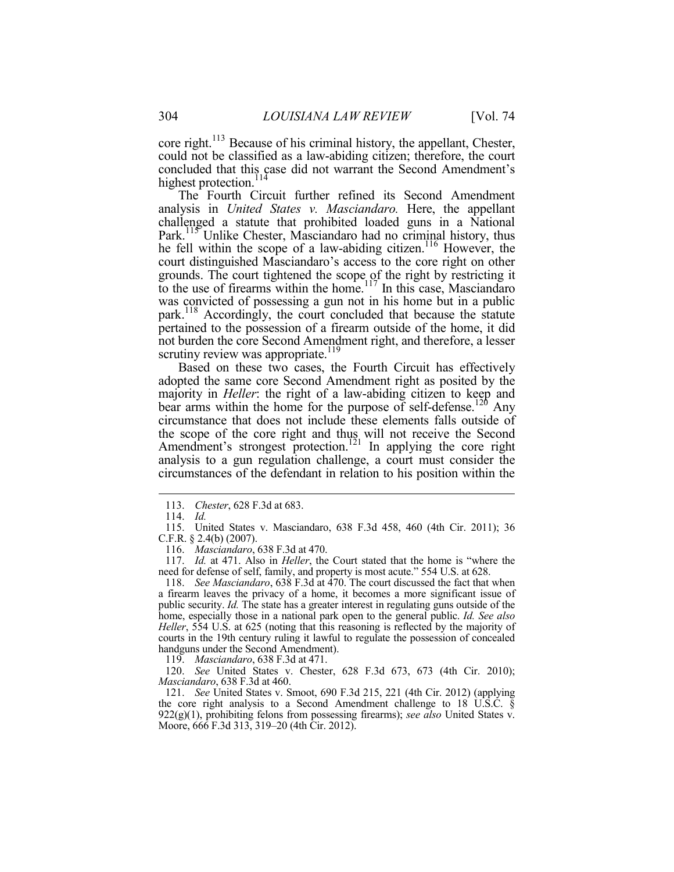core right.<sup>113</sup> Because of his criminal history, the appellant, Chester, could not be classified as a law-abiding citizen; therefore, the court concluded that this case did not warrant the Second Amendment's highest protection.<sup>114</sup>

The Fourth Circuit further refined its Second Amendment analysis in *United States v. Masciandaro.* Here, the appellant challenged a statute that prohibited loaded guns in a National Park.<sup>115</sup> Unlike Chester, Masciandaro had no criminal history, thus he fell within the scope of a law-abiding citizen.<sup>116</sup> However, the court distinguished Masciandaro's access to the core right on other grounds. The court tightened the scope of the right by restricting it to the use of firearms within the home.<sup>117</sup> In this case, Masciandaro was convicted of possessing a gun not in his home but in a public park.<sup>118</sup> Accordingly, the court concluded that because the statute pertained to the possession of a firearm outside of the home, it did not burden the core Second Amendment right, and therefore, a lesser scrutiny review was appropriate.<sup>119</sup>

Based on these two cases, the Fourth Circuit has effectively adopted the same core Second Amendment right as posited by the majority in *Heller*: the right of a law-abiding citizen to keep and bear arms within the home for the purpose of self-defense.<sup>126</sup> Any circumstance that does not include these elements falls outside of the scope of the core right and thus will not receive the Second Amendment's strongest protection.<sup>121</sup> In applying the core right analysis to a gun regulation challenge, a court must consider the circumstances of the defendant in relation to his position within the

<u>.</u>

119. *Masciandaro*, 638 F.3d at 471.

 120. *See* United States v. Chester, 628 F.3d 673, 673 (4th Cir. 2010); *Masciandaro*, 638 F.3d at 460.

 121. *See* United States v. Smoot, 690 F.3d 215, 221 (4th Cir. 2012) (applying the core right analysis to a Second Amendment challenge to 18 U.S.C. § 922(g)(1), prohibiting felons from possessing firearms); *see also* United States v. Moore, 666 F.3d 313, 319–20 (4th Cir. 2012).

 <sup>113.</sup> *Chester*, 628 F.3d at 683.

 <sup>114.</sup> *Id.*

 <sup>115.</sup> United States v. Masciandaro, 638 F.3d 458, 460 (4th Cir. 2011); 36 C.F.R. § 2.4(b) (2007).

 <sup>116.</sup> *Masciandaro*, 638 F.3d at 470.

 <sup>117.</sup> *Id.* at 471. Also in *Heller*, the Court stated that the home is "where the need for defense of self, family, and property is most acute." 554 U.S. at 628.

 <sup>118.</sup> *See Masciandaro*, 638 F.3d at 470. The court discussed the fact that when a firearm leaves the privacy of a home, it becomes a more significant issue of public security. *Id.* The state has a greater interest in regulating guns outside of the home, especially those in a national park open to the general public. *Id. See also Heller*, 554 U.S. at 625 (noting that this reasoning is reflected by the majority of courts in the 19th century ruling it lawful to regulate the possession of concealed handguns under the Second Amendment).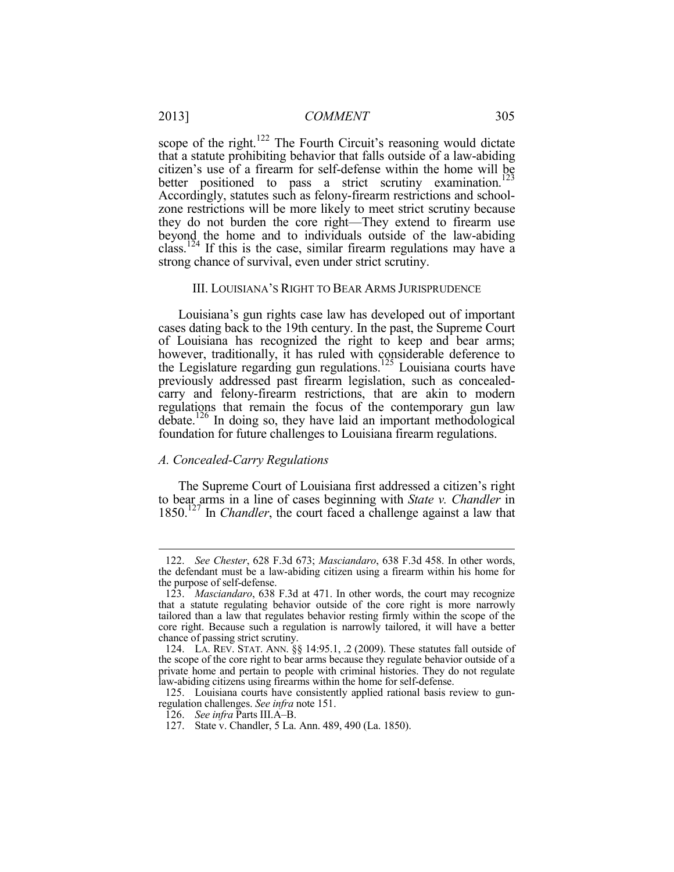scope of the right.<sup>122</sup> The Fourth Circuit's reasoning would dictate that a statute prohibiting behavior that falls outside of a law-abiding citizen's use of a firearm for self-defense within the home will be better positioned to pass a strict scrutiny examination.<sup>123</sup> Accordingly, statutes such as felony-firearm restrictions and schoolzone restrictions will be more likely to meet strict scrutiny because they do not burden the core right—They extend to firearm use beyond the home and to individuals outside of the law-abiding class.<sup>124</sup> If this is the case, similar firearm regulations may have a strong chance of survival, even under strict scrutiny.

#### III. LOUISIANA'S RIGHT TO BEAR ARMS JURISPRUDENCE

Louisiana's gun rights case law has developed out of important cases dating back to the 19th century. In the past, the Supreme Court of Louisiana has recognized the right to keep and bear arms; however, traditionally, it has ruled with considerable deference to the Legislature regarding gun regulations.<sup>125</sup> Louisiana courts have previously addressed past firearm legislation, such as concealedcarry and felony-firearm restrictions, that are akin to modern regulations that remain the focus of the contemporary gun law  $debate.<sup>126</sup>$  In doing so, they have laid an important methodological foundation for future challenges to Louisiana firearm regulations.

#### *A. Concealed-Carry Regulations*

1

The Supreme Court of Louisiana first addressed a citizen's right to bear arms in a line of cases beginning with *State v. Chandler* in 1850.127 In *Chandler*, the court faced a challenge against a law that

 <sup>122.</sup> *See Chester*, 628 F.3d 673; *Masciandaro*, 638 F.3d 458. In other words, the defendant must be a law-abiding citizen using a firearm within his home for the purpose of self-defense.

 <sup>123.</sup> *Masciandaro*, 638 F.3d at 471. In other words, the court may recognize that a statute regulating behavior outside of the core right is more narrowly tailored than a law that regulates behavior resting firmly within the scope of the core right. Because such a regulation is narrowly tailored, it will have a better chance of passing strict scrutiny.

 <sup>124.</sup> LA. REV. STAT. ANN. §§ 14:95.1, .2 (2009). These statutes fall outside of the scope of the core right to bear arms because they regulate behavior outside of a private home and pertain to people with criminal histories. They do not regulate law-abiding citizens using firearms within the home for self-defense.

 <sup>125.</sup> Louisiana courts have consistently applied rational basis review to gunregulation challenges. *See infra* note 151.

 <sup>126.</sup> *See infra* Parts III.A–B.

 <sup>127.</sup> State v. Chandler, 5 La. Ann. 489, 490 (La. 1850).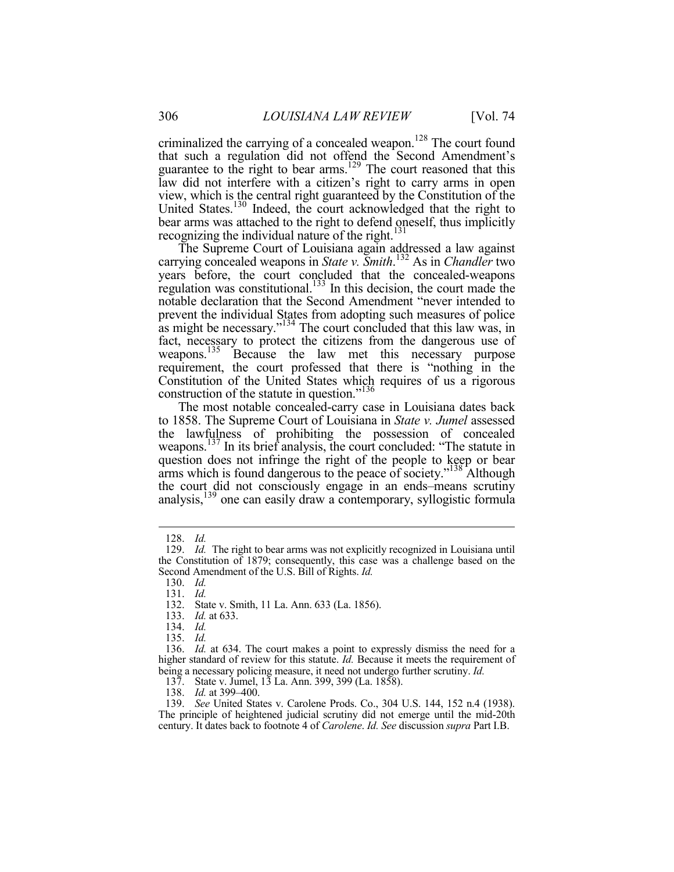criminalized the carrying of a concealed weapon.<sup>128</sup> The court found that such a regulation did not offend the Second Amendment's guarantee to the right to bear arms.<sup>129</sup> The court reasoned that this law did not interfere with a citizen's right to carry arms in open view, which is the central right guaranteed by the Constitution of the United States.<sup>130</sup> Indeed, the court acknowledged that the right to bear arms was attached to the right to defend oneself, thus implicitly recognizing the individual nature of the right. $131$ 

The Supreme Court of Louisiana again addressed a law against carrying concealed weapons in *State v. Smith*. 132 As in *Chandler* two years before, the court concluded that the concealed-weapons regulation was constitutional.<sup>133</sup> In this decision, the court made the notable declaration that the Second Amendment "never intended to prevent the individual States from adopting such measures of police as might be necessary." $134$  The court concluded that this law was, in fact, necessary to protect the citizens from the dangerous use of weapons.<sup>135</sup> Because the law met this necessary purpose requirement, the court professed that there is "nothing in the Constitution of the United States which requires of us a rigorous construction of the statute in question."<sup>136</sup>

The most notable concealed-carry case in Louisiana dates back to 1858. The Supreme Court of Louisiana in *State v. Jumel* assessed the lawfulness of prohibiting the possession of concealed weapons.<sup>137</sup> In its brief analysis, the court concluded: "The statute in question does not infringe the right of the people to keep or bear arms which is found dangerous to the peace of society."<sup>138</sup> Although the court did not consciously engage in an ends–means scrutiny analysis,139 one can easily draw a contemporary, syllogistic formula

<u>.</u>

130. *Id.*

131. *Id.*

132. State v. Smith, 11 La. Ann. 633 (La. 1856).

133. *Id.* at 633.

134. *Id.*

135. *Id.*

 136. *Id.* at 634. The court makes a point to expressly dismiss the need for a higher standard of review for this statute. *Id.* Because it meets the requirement of being a necessary policing measure, it need not undergo further scrutiny. *Id.*

137. State v. Jumel, 13 La. Ann. 399, 399 (La. 1858).

138. *Id.* at 399–400.

 139. *See* United States v. Carolene Prods. Co., 304 U.S. 144, 152 n.4 (1938). The principle of heightened judicial scrutiny did not emerge until the mid-20th century. It dates back to footnote 4 of *Carolene*. *Id. See* discussion *supra* Part I.B.

 <sup>128.</sup> *Id.* 129. *Id.* The right to bear arms was not explicitly recognized in Louisiana until the Constitution of 1879; consequently, this case was a challenge based on the Second Amendment of the U.S. Bill of Rights. *Id.*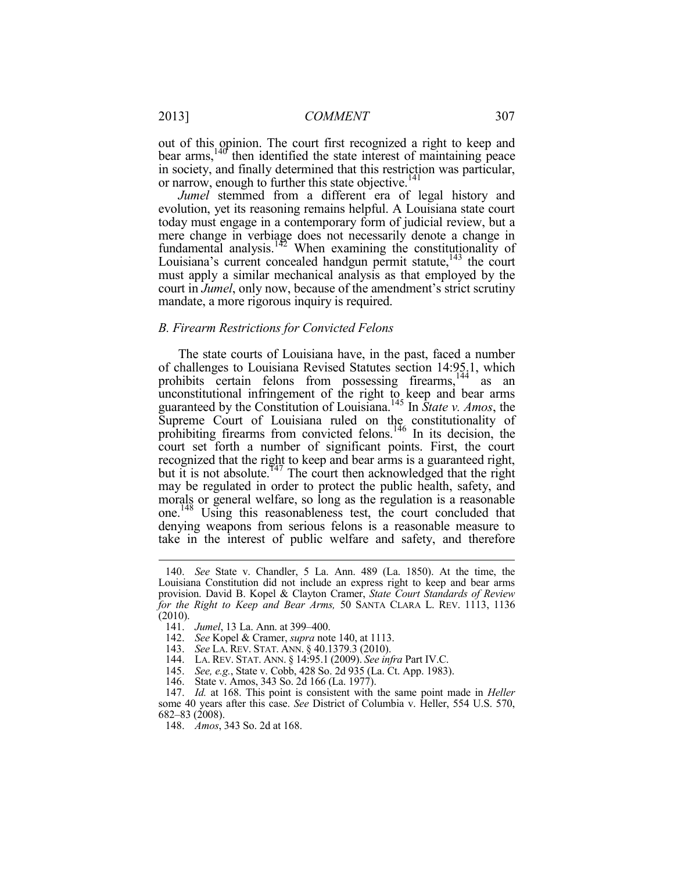out of this opinion. The court first recognized a right to keep and bear arms,<sup>140</sup> then identified the state interest of maintaining peace in society, and finally determined that this restriction was particular, or narrow, enough to further this state objective.<sup>141</sup>

*Jumel* stemmed from a different era of legal history and evolution, yet its reasoning remains helpful. A Louisiana state court today must engage in a contemporary form of judicial review, but a mere change in verbiage does not necessarily denote a change in fundamental analysis.<sup>142</sup> When examining the constitutionality of Louisiana's current concealed handgun permit statute, $143$  the court must apply a similar mechanical analysis as that employed by the court in *Jumel*, only now, because of the amendment's strict scrutiny mandate, a more rigorous inquiry is required.

#### *B. Firearm Restrictions for Convicted Felons*

The state courts of Louisiana have, in the past, faced a number of challenges to Louisiana Revised Statutes section 14:95.1, which prohibits certain felons from possessing firearms,<sup>144</sup> as an unconstitutional infringement of the right to keep and bear arms guaranteed by the Constitution of Louisiana.145 In *State v. Amos*, the Supreme Court of Louisiana ruled on the constitutionality of prohibiting firearms from convicted felons.146 In its decision, the court set forth a number of significant points. First, the court recognized that the right to keep and bear arms is a guaranteed right, but it is not absolute.<sup>147</sup> The court then acknowledged that the right may be regulated in order to protect the public health, safety, and morals or general welfare, so long as the regulation is a reasonable one.148 Using this reasonableness test, the court concluded that denying weapons from serious felons is a reasonable measure to take in the interest of public welfare and safety, and therefore

 <sup>140.</sup> *See* State v. Chandler, 5 La. Ann. 489 (La. 1850). At the time, the Louisiana Constitution did not include an express right to keep and bear arms provision. David B. Kopel & Clayton Cramer, *State Court Standards of Review for the Right to Keep and Bear Arms,* 50 SANTA CLARA L. REV. 1113, 1136 (2010).

 <sup>141.</sup> *Jumel*, 13 La. Ann. at 399–400.

 <sup>142.</sup> *See* Kopel & Cramer, *supra* note 140, at 1113.

 <sup>143.</sup> *See* LA. REV. STAT. ANN. § 40.1379.3 (2010).

 <sup>144.</sup> LA. REV. STAT. ANN. § 14:95.1 (2009). *See infra* Part IV.C.

 <sup>145.</sup> *See, e.g.*, State v. Cobb, 428 So. 2d 935 (La. Ct. App. 1983).

 <sup>146.</sup> State v. Amos, 343 So. 2d 166 (La. 1977).

 <sup>147.</sup> *Id.* at 168. This point is consistent with the same point made in *Heller* some 40 years after this case. *See* District of Columbia v. Heller, 554 U.S. 570, 682–83 (2008).

 <sup>148.</sup> *Amos*, 343 So. 2d at 168.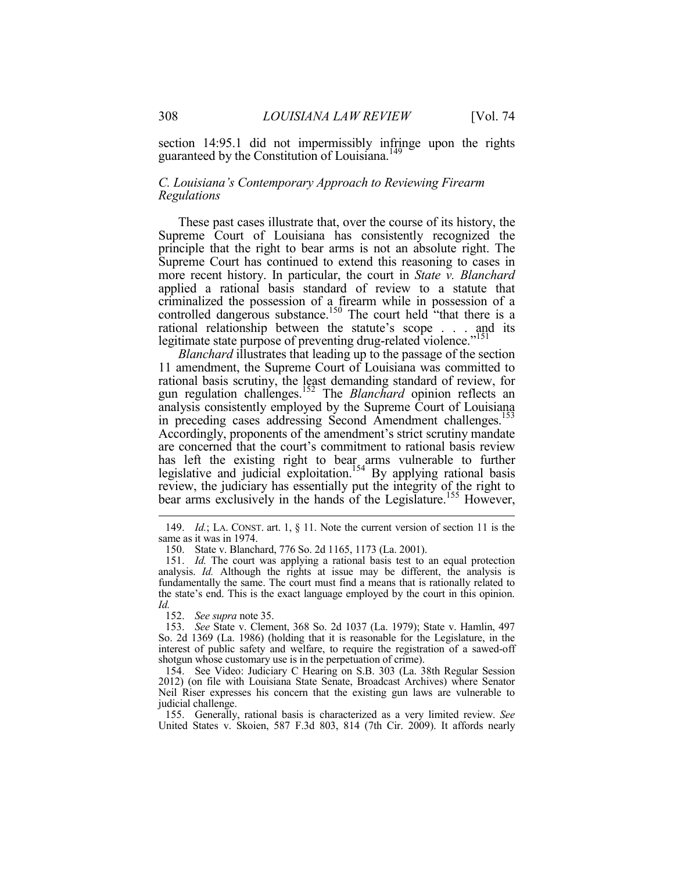section 14:95.1 did not impermissibly infringe upon the rights guaranteed by the Constitution of Louisiana.<sup>149</sup>

# *C. Louisiana's Contemporary Approach to Reviewing Firearm Regulations*

These past cases illustrate that, over the course of its history, the Supreme Court of Louisiana has consistently recognized the principle that the right to bear arms is not an absolute right. The Supreme Court has continued to extend this reasoning to cases in more recent history. In particular, the court in *State v. Blanchard* applied a rational basis standard of review to a statute that criminalized the possession of a firearm while in possession of a controlled dangerous substance.<sup>150</sup> The court held "that there is a rational relationship between the statute's scope . . . and its legitimate state purpose of preventing drug-related violence."<sup>151</sup>

*Blanchard* illustrates that leading up to the passage of the section 11 amendment, the Supreme Court of Louisiana was committed to rational basis scrutiny, the least demanding standard of review, for gun regulation challenges.152 The *Blanchard* opinion reflects an analysis consistently employed by the Supreme Court of Louisiana in preceding cases addressing Second Amendment challenges.<sup>153</sup> Accordingly, proponents of the amendment's strict scrutiny mandate are concerned that the court's commitment to rational basis review has left the existing right to bear arms vulnerable to further legislative and judicial exploitation.<sup>154</sup> By applying rational basis review, the judiciary has essentially put the integrity of the right to bear arms exclusively in the hands of the Legislature.<sup>155</sup> However,

152. *See supra* note 35.

1

 153. *See* State v. Clement, 368 So. 2d 1037 (La. 1979); State v. Hamlin, 497 So. 2d 1369 (La. 1986) (holding that it is reasonable for the Legislature, in the interest of public safety and welfare, to require the registration of a sawed-off shotgun whose customary use is in the perpetuation of crime).

 154. See Video: Judiciary C Hearing on S.B. 303 (La. 38th Regular Session 2012) (on file with Louisiana State Senate, Broadcast Archives) where Senator Neil Riser expresses his concern that the existing gun laws are vulnerable to judicial challenge.

 155. Generally, rational basis is characterized as a very limited review. *See* United States v. Skoien, 587 F.3d 803, 814 (7th Cir. 2009). It affords nearly

 <sup>149.</sup> *Id.*; LA. CONST. art. 1, § 11. Note the current version of section 11 is the same as it was in 1974.

 <sup>150.</sup> State v. Blanchard, 776 So. 2d 1165, 1173 (La. 2001).

 <sup>151.</sup> *Id.* The court was applying a rational basis test to an equal protection analysis. *Id.* Although the rights at issue may be different, the analysis is fundamentally the same. The court must find a means that is rationally related to the state's end. This is the exact language employed by the court in this opinion. *Id.*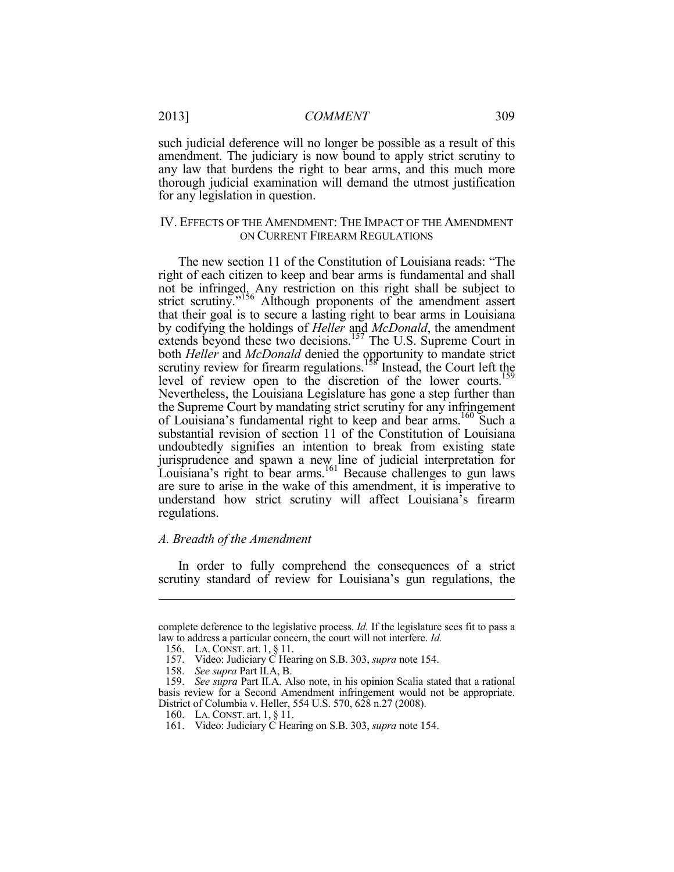such judicial deference will no longer be possible as a result of this amendment. The judiciary is now bound to apply strict scrutiny to any law that burdens the right to bear arms, and this much more thorough judicial examination will demand the utmost justification for any legislation in question.

#### IV. EFFECTS OF THE AMENDMENT: THE IMPACT OF THE AMENDMENT ON CURRENT FIREARM REGULATIONS

The new section 11 of the Constitution of Louisiana reads: "The right of each citizen to keep and bear arms is fundamental and shall not be infringed. Any restriction on this right shall be subject to strict scrutiny."<sup>156</sup> Although proponents of the amendment assert that their goal is to secure a lasting right to bear arms in Louisiana by codifying the holdings of *Heller* and *McDonald*, the amendment extends beyond these two decisions.<sup>157</sup> The U.S. Supreme Court in both *Heller* and *McDonald* denied the opportunity to mandate strict scrutiny review for firearm regulations.<sup>158</sup> Instead, the Court left the level of review open to the discretion of the lower courts.<sup>159</sup> Nevertheless, the Louisiana Legislature has gone a step further than the Supreme Court by mandating strict scrutiny for any infringement of Louisiana's fundamental right to keep and bear arms.160 Such a substantial revision of section 11 of the Constitution of Louisiana undoubtedly signifies an intention to break from existing state jurisprudence and spawn a new line of judicial interpretation for Louisiana's right to bear arms.<sup>161</sup> Because challenges to gun laws are sure to arise in the wake of this amendment, it is imperative to understand how strict scrutiny will affect Louisiana's firearm regulations.

# *A. Breadth of the Amendment*

In order to fully comprehend the consequences of a strict scrutiny standard of review for Louisiana's gun regulations, the

complete deference to the legislative process. *Id.* If the legislature sees fit to pass a law to address a particular concern, the court will not interfere. *Id.*

 <sup>156.</sup> LA. CONST. art. 1, § 11.

 <sup>157.</sup> Video: Judiciary C Hearing on S.B. 303, *supra* note 154.

 <sup>158.</sup> *See supra* Part II.A, B.

 <sup>159.</sup> *See supra* Part II.A. Also note, in his opinion Scalia stated that a rational basis review for a Second Amendment infringement would not be appropriate. District of Columbia v. Heller, 554 U.S. 570, 628 n.27 (2008).

 <sup>160.</sup> LA. CONST. art. 1, § 11.

 <sup>161.</sup> Video: Judiciary C Hearing on S.B. 303, *supra* note 154.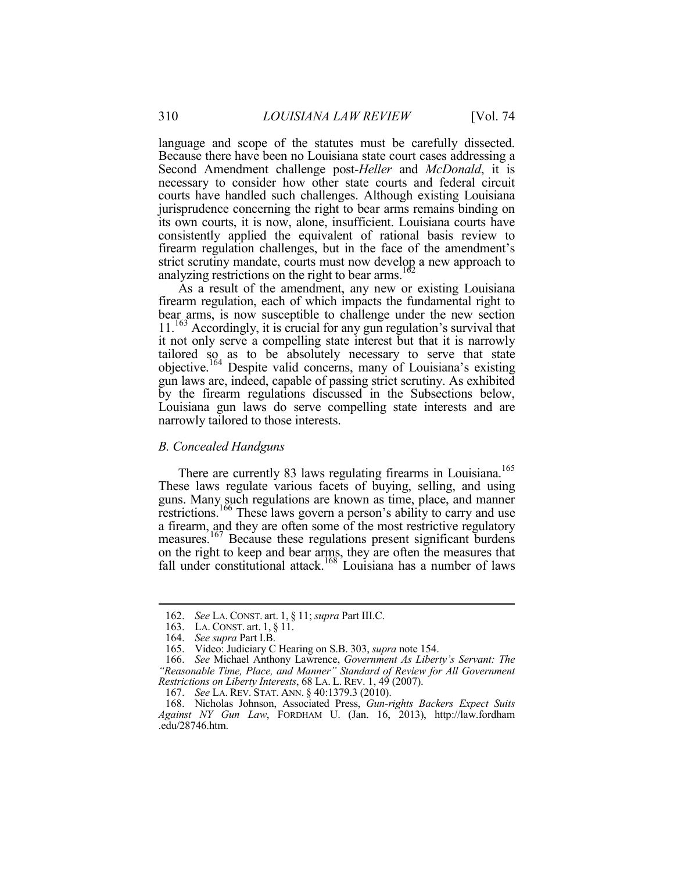language and scope of the statutes must be carefully dissected. Because there have been no Louisiana state court cases addressing a Second Amendment challenge post-*Heller* and *McDonald*, it is necessary to consider how other state courts and federal circuit courts have handled such challenges. Although existing Louisiana jurisprudence concerning the right to bear arms remains binding on its own courts, it is now, alone, insufficient. Louisiana courts have consistently applied the equivalent of rational basis review to firearm regulation challenges, but in the face of the amendment's strict scrutiny mandate, courts must now develop a new approach to analyzing restrictions on the right to bear arms.<sup>1</sup>

As a result of the amendment, any new or existing Louisiana firearm regulation, each of which impacts the fundamental right to bear arms, is now susceptible to challenge under the new section 11.<sup>163</sup> Accordingly, it is crucial for any gun regulation's survival that it not only serve a compelling state interest but that it is narrowly tailored so as to be absolutely necessary to serve that state objective.164 Despite valid concerns, many of Louisiana's existing gun laws are, indeed, capable of passing strict scrutiny. As exhibited by the firearm regulations discussed in the Subsections below, Louisiana gun laws do serve compelling state interests and are narrowly tailored to those interests.

#### *B. Concealed Handguns*

There are currently 83 laws regulating firearms in Louisiana.<sup>165</sup> These laws regulate various facets of buying, selling, and using guns. Many such regulations are known as time, place, and manner restrictions.166 These laws govern a person's ability to carry and use a firearm, and they are often some of the most restrictive regulatory measures.167 Because these regulations present significant burdens on the right to keep and bear arms, they are often the measures that fall under constitutional attack.<sup>168</sup> Louisiana has a number of laws

 <sup>162.</sup> *See* LA. CONST. art. 1, § 11; *supra* Part III.C.

 <sup>163.</sup> LA. CONST. art. 1, § 11.

 <sup>164.</sup> *See supra* Part I.B.

 <sup>165.</sup> Video: Judiciary C Hearing on S.B. 303, *supra* note 154.

 <sup>166.</sup> *See* Michael Anthony Lawrence, *Government As Liberty's Servant: The "Reasonable Time, Place, and Manner" Standard of Review for All Government Restrictions on Liberty Interests*, 68 LA. L. REV. 1, 49 (2007).

 <sup>167.</sup> *See* LA. REV. STAT. ANN. § 40:1379.3 (2010).

 <sup>168.</sup> Nicholas Johnson, Associated Press, *Gun-rights Backers Expect Suits Against NY Gun Law*, FORDHAM U. (Jan. 16, 2013), http://law.fordham .edu/28746.htm.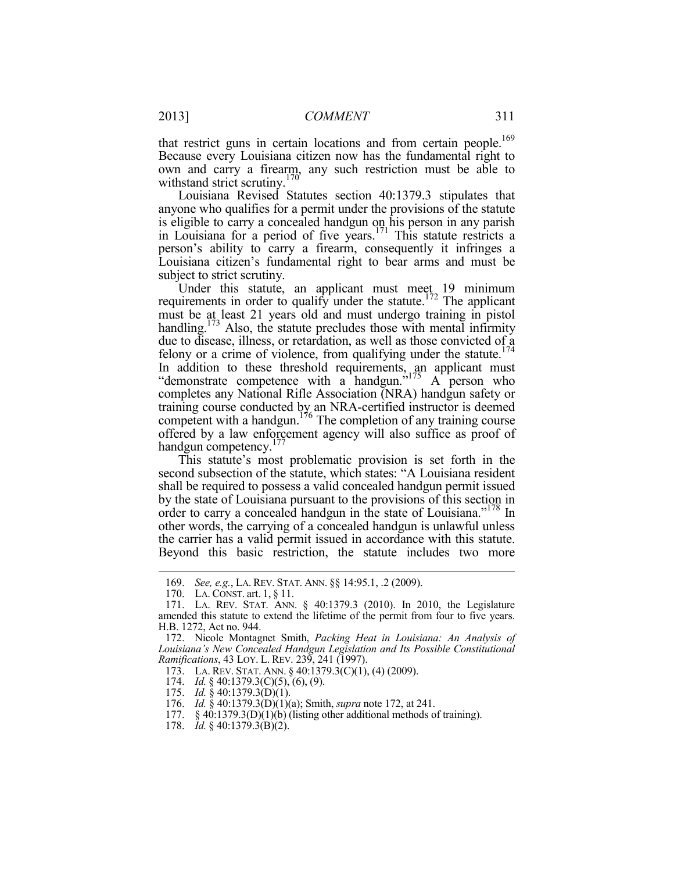that restrict guns in certain locations and from certain people.<sup>169</sup> Because every Louisiana citizen now has the fundamental right to own and carry a firearm, any such restriction must be able to withstand strict scrutiny.<sup>170</sup>

Louisiana Revised Statutes section 40:1379.3 stipulates that anyone who qualifies for a permit under the provisions of the statute is eligible to carry a concealed handgun on his person in any parish in Louisiana for a period of five years.<sup>171</sup> This statute restricts a person's ability to carry a firearm, consequently it infringes a Louisiana citizen's fundamental right to bear arms and must be subject to strict scrutiny.

Under this statute, an applicant must meet  $19$  minimum requirements in order to qualify under the statute.<sup>172</sup> The applicant must be at least 21 years old and must undergo training in pistol handling.<sup>173</sup> Also, the statute precludes those with mental infirmity due to disease, illness, or retardation, as well as those convicted of a felony or a crime of violence, from qualifying under the statute.<sup>174</sup> In addition to these threshold requirements, an applicant must "demonstrate competence with a handgun." $175$  A person who completes any National Rifle Association (NRA) handgun safety or training course conducted by an NRA-certified instructor is deemed competent with a handgun.<sup>176</sup> The completion of any training course offered by a law enforcement agency will also suffice as proof of handgun competency.<sup>177</sup>

This statute's most problematic provision is set forth in the second subsection of the statute, which states: "A Louisiana resident shall be required to possess a valid concealed handgun permit issued by the state of Louisiana pursuant to the provisions of this section in order to carry a concealed handgun in the state of Louisiana."<sup>178</sup> In other words, the carrying of a concealed handgun is unlawful unless the carrier has a valid permit issued in accordance with this statute. Beyond this basic restriction, the statute includes two more

1

178. *Id.* § 40:1379.3(B)(2).

 <sup>169.</sup> *See, e.g.*, LA. REV. STAT. ANN. §§ 14:95.1, .2 (2009).

 <sup>170.</sup> LA. CONST. art. 1, § 11.

 <sup>171.</sup> LA. REV. STAT. ANN. § 40:1379.3 (2010). In 2010, the Legislature amended this statute to extend the lifetime of the permit from four to five years. H.B. 1272, Act no. 944.

 <sup>172.</sup> Nicole Montagnet Smith, *Packing Heat in Louisiana: An Analysis of Louisiana's New Concealed Handgun Legislation and Its Possible Constitutional Ramifications*, 43 LOY. L. REV. 239, 241 (1997).

 <sup>173.</sup> LA. REV. STAT. ANN. § 40:1379.3(C)(1), (4) (2009).

 <sup>174.</sup> *Id.* § 40:1379.3(C)(5), (6), (9).

 <sup>175.</sup> *Id.* § 40:1379.3(D)(1).

 <sup>176.</sup> *Id.* § 40:1379.3(D)(1)(a); Smith, *supra* note 172, at 241.

<sup>177. § 40:1379.3(</sup>D)(1)(b) (listing other additional methods of training).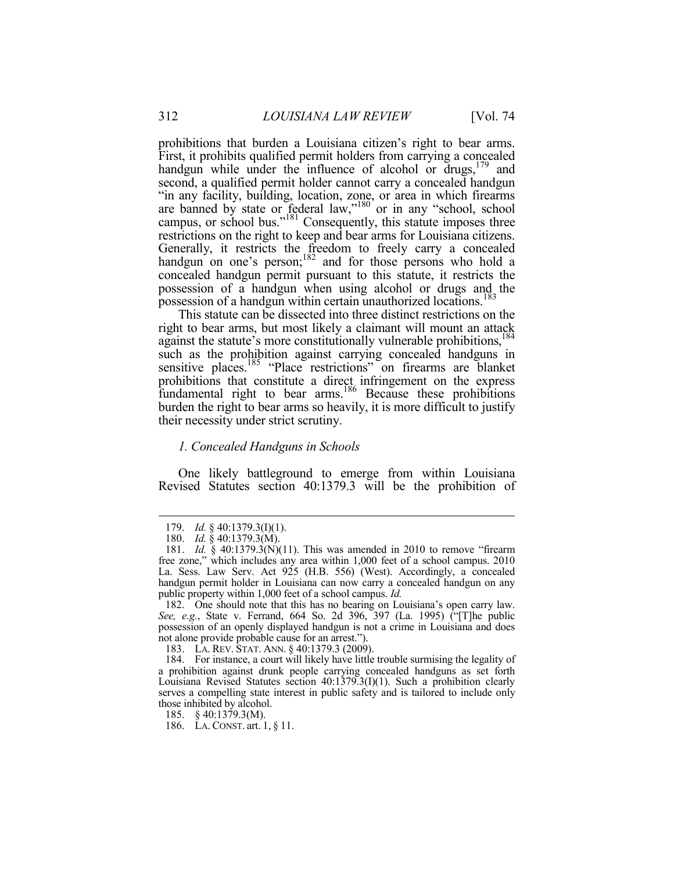prohibitions that burden a Louisiana citizen's right to bear arms. First, it prohibits qualified permit holders from carrying a concealed handgun while under the influence of alcohol or drugs,<sup>179</sup> and second, a qualified permit holder cannot carry a concealed handgun "in any facility, building, location, zone, or area in which firearms are banned by state or federal law,"<sup>180</sup> or in any "school, school campus, or school bus."<sup>181</sup> Consequently, this statute imposes three restrictions on the right to keep and bear arms for Louisiana citizens. Generally, it restricts the freedom to freely carry a concealed handgun on one's person;<sup>182</sup> and for those persons who hold a concealed handgun permit pursuant to this statute, it restricts the possession of a handgun when using alcohol or drugs and the possession of a handgun within certain unauthorized locations.<sup>183</sup>

This statute can be dissected into three distinct restrictions on the right to bear arms, but most likely a claimant will mount an attack against the statute's more constitutionally vulnerable prohibitions,<sup>184</sup> such as the prohibition against carrying concealed handguns in sensitive places.<sup>185</sup> "Place restrictions" on firearms are blanket prohibitions that constitute a direct infringement on the express fundamental right to bear arms.<sup>186</sup> Because these prohibitions burden the right to bear arms so heavily, it is more difficult to justify their necessity under strict scrutiny.

#### *1. Concealed Handguns in Schools*

One likely battleground to emerge from within Louisiana Revised Statutes section 40:1379.3 will be the prohibition of

 <sup>179.</sup> *Id.* § 40:1379.3(I)(1).

 <sup>180.</sup> *Id.* § 40:1379.3(M).

 <sup>181.</sup> *Id.* § 40:1379.3(N)(11). This was amended in 2010 to remove "firearm free zone," which includes any area within 1,000 feet of a school campus. 2010 La. Sess. Law Serv. Act 925 (H.B. 556) (West). Accordingly, a concealed handgun permit holder in Louisiana can now carry a concealed handgun on any public property within 1,000 feet of a school campus. *Id.*

 <sup>182.</sup> One should note that this has no bearing on Louisiana's open carry law. *See, e.g.*, State v. Ferrand, 664 So. 2d 396, 397 (La. 1995) ("[T]he public possession of an openly displayed handgun is not a crime in Louisiana and does not alone provide probable cause for an arrest.").

 <sup>183.</sup> LA. REV. STAT. ANN. § 40:1379.3 (2009).

 <sup>184.</sup> For instance, a court will likely have little trouble surmising the legality of a prohibition against drunk people carrying concealed handguns as set forth Louisiana Revised Statutes section 40:1379.3(I)(1). Such a prohibition clearly serves a compelling state interest in public safety and is tailored to include only those inhibited by alcohol.

 <sup>185. § 40:1379.3(</sup>M).

 <sup>186.</sup> LA. CONST. art. 1, § 11.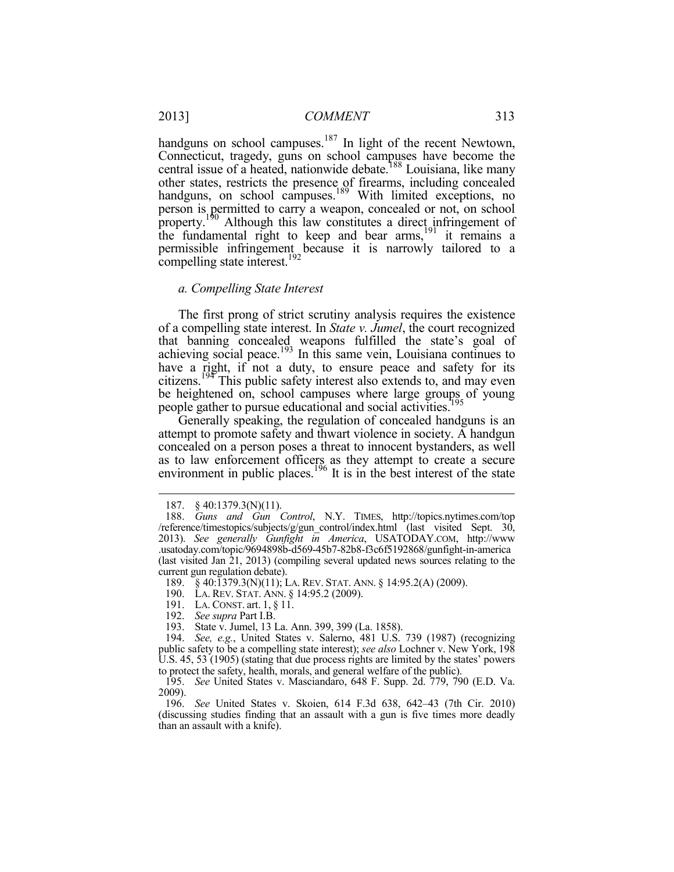handguns on school campuses.<sup>187</sup> In light of the recent Newtown, Connecticut, tragedy, guns on school campuses have become the central issue of a heated, nationwide debate.<sup>188</sup> Louisiana, like many other states, restricts the presence of firearms, including concealed handguns, on school campuses.<sup>189</sup> With limited exceptions, no person is permitted to carry a weapon, concealed or not, on school property.<sup>190</sup> Although this law constitutes a direct infringement of the fundamental right to keep and bear  $\arccos \frac{191}{191}$  it remains a permissible infringement because it is narrowly tailored to a compelling state interest.<sup>192</sup>

#### *a. Compelling State Interest*

The first prong of strict scrutiny analysis requires the existence of a compelling state interest. In *State v. Jumel*, the court recognized that banning concealed weapons fulfilled the state's goal of achieving social peace.<sup>193</sup> In this same vein, Louisiana continues to have a right, if not a duty, to ensure peace and safety for its citizens.<sup>194</sup> This public safety interest also extends to, and may even be heightened on, school campuses where large groups of young people gather to pursue educational and social activities.<sup>1</sup>

Generally speaking, the regulation of concealed handguns is an attempt to promote safety and thwart violence in society. A handgun concealed on a person poses a threat to innocent bystanders, as well as to law enforcement officers as they attempt to create a secure environment in public places.<sup>196</sup> It is in the best interest of the state

<sup>187. § 40:1379.3(</sup>N)(11).<br>188. *Guns and Gun* (

 <sup>188.</sup> *Guns and Gun Control*, N.Y. TIMES, http://topics.nytimes.com/top /reference/timestopics/subjects/g/gun\_control/index.html (last visited Sept. 30, 2013). *See generally Gunfight in America*, USATODAY.COM, http://www .usatoday.com/topic/9694898b-d569-45b7-82b8-f3c6f5192868/gunfight-in-america (last visited Jan 21, 2013) (compiling several updated news sources relating to the current gun regulation debate).

 <sup>189. § 40:1379.3(</sup>N)(11); LA. REV. STAT. ANN. § 14:95.2(A) (2009).

 <sup>190.</sup> LA. REV. STAT. ANN. § 14:95.2 (2009).

 <sup>191.</sup> LA. CONST. art. 1, § 11.

 <sup>192.</sup> *See supra* Part I.B.

 <sup>193.</sup> State v. Jumel, 13 La. Ann. 399, 399 (La. 1858).

 <sup>194.</sup> *See, e.g.*, United States v. Salerno, 481 U.S. 739 (1987) (recognizing public safety to be a compelling state interest); *see also* Lochner v. New York, 198 U.S. 45, 53 (1905) (stating that due process rights are limited by the states' powers to protect the safety, health, morals, and general welfare of the public).

 <sup>195.</sup> *See* United States v. Masciandaro, 648 F. Supp. 2d. 779, 790 (E.D. Va. 2009).

 <sup>196.</sup> *See* United States v. Skoien, 614 F.3d 638, 642–43 (7th Cir. 2010) (discussing studies finding that an assault with a gun is five times more deadly than an assault with a knife).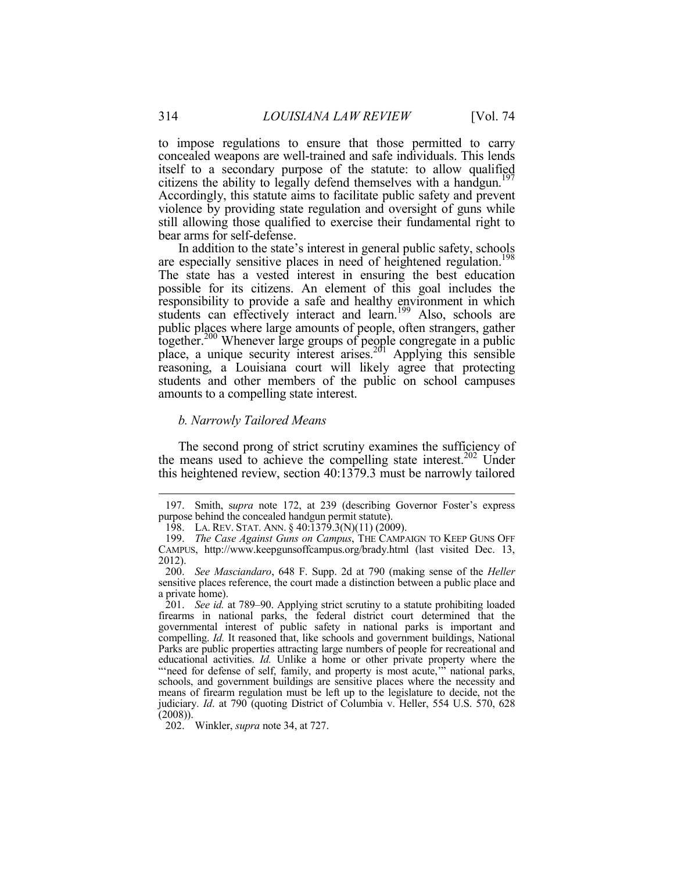to impose regulations to ensure that those permitted to carry concealed weapons are well-trained and safe individuals. This lends itself to a secondary purpose of the statute: to allow qualified citizens the ability to legally defend themselves with a handgun.<sup>197</sup> Accordingly, this statute aims to facilitate public safety and prevent violence by providing state regulation and oversight of guns while still allowing those qualified to exercise their fundamental right to bear arms for self-defense.

In addition to the state's interest in general public safety, schools are especially sensitive places in need of heightened regulation.<sup>198</sup> The state has a vested interest in ensuring the best education possible for its citizens. An element of this goal includes the responsibility to provide a safe and healthy environment in which students can effectively interact and learn.<sup>199</sup> Also, schools are public places where large amounts of people, often strangers, gather together.200 Whenever large groups of people congregate in a public place, a unique security interest arises.<sup>201</sup> Applying this sensible reasoning, a Louisiana court will likely agree that protecting students and other members of the public on school campuses amounts to a compelling state interest.

#### *b. Narrowly Tailored Means*

The second prong of strict scrutiny examines the sufficiency of the means used to achieve the compelling state interest.<sup>202</sup> Under this heightened review, section 40:1379.3 must be narrowly tailored

 <sup>197.</sup> Smith, s*upra* note 172, at 239 (describing Governor Foster's express purpose behind the concealed handgun permit statute).

<sup>198.</sup> LA. REV. STAT. ANN. § 40:1379.3(N)(11) (2009).

 <sup>199.</sup> *The Case Against Guns on Campus*, THE CAMPAIGN TO KEEP GUNS OFF CAMPUS, http://www.keepgunsoffcampus.org/brady.html (last visited Dec. 13, 2012).

 <sup>200.</sup> *See Masciandaro*, 648 F. Supp. 2d at 790 (making sense of the *Heller* sensitive places reference, the court made a distinction between a public place and a private home).

 <sup>201.</sup> *See id.* at 789–90. Applying strict scrutiny to a statute prohibiting loaded firearms in national parks, the federal district court determined that the governmental interest of public safety in national parks is important and compelling. *Id.* It reasoned that, like schools and government buildings, National Parks are public properties attracting large numbers of people for recreational and educational activities. *Id.* Unlike a home or other private property where the "'need for defense of self, family, and property is most acute," national parks, schools, and government buildings are sensitive places where the necessity and means of firearm regulation must be left up to the legislature to decide, not the judiciary. *Id*. at 790 (quoting District of Columbia v. Heller, 554 U.S. 570, 628  $(2008)$ 

 <sup>202.</sup> Winkler, *supra* note 34, at 727.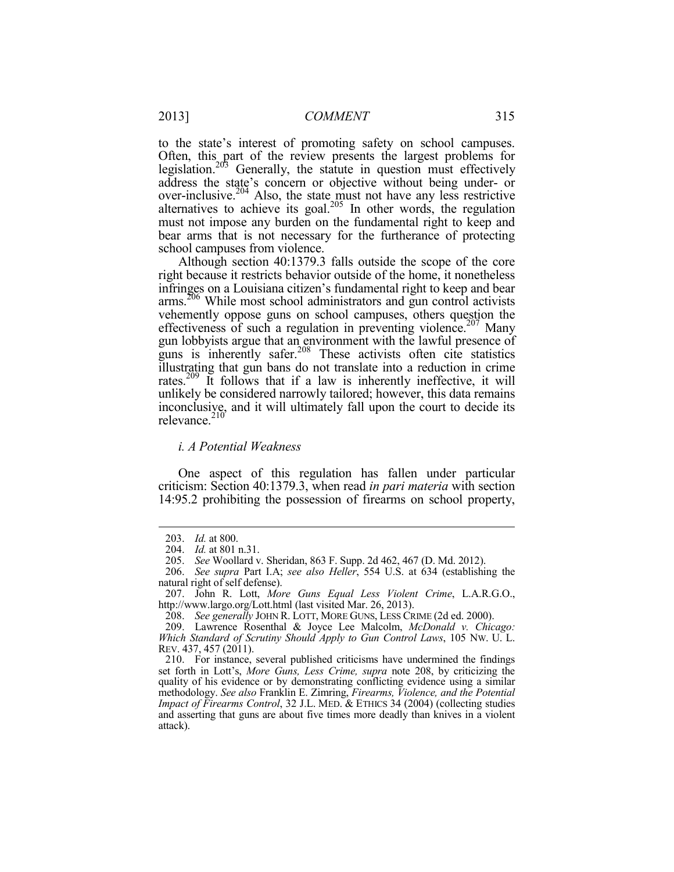to the state's interest of promoting safety on school campuses. Often, this part of the review presents the largest problems for legislation.<sup>205</sup> Generally, the statute in question must effectively address the state's concern or objective without being under- or over-inclusive. $204$  Also, the state must not have any less restrictive alternatives to achieve its goal. $205$  In other words, the regulation must not impose any burden on the fundamental right to keep and bear arms that is not necessary for the furtherance of protecting school campuses from violence.

Although section 40:1379.3 falls outside the scope of the core right because it restricts behavior outside of the home, it nonetheless infringes on a Louisiana citizen's fundamental right to keep and bear arms.<sup>206</sup> While most school administrators and gun control activists vehemently oppose guns on school campuses, others question the effectiveness of such a regulation in preventing violence.<sup>207</sup> Many gun lobbyists argue that an environment with the lawful presence of guns is inherently safer.<sup>208</sup> These activists often cite statistics illustrating that gun bans do not translate into a reduction in crime rates.209 It follows that if a law is inherently ineffective, it will unlikely be considered narrowly tailored; however, this data remains inconclusive, and it will ultimately fall upon the court to decide its relevance. $210$ 

#### *i. A Potential Weakness*

One aspect of this regulation has fallen under particular criticism: Section 40:1379.3, when read *in pari materia* with section 14:95.2 prohibiting the possession of firearms on school property,

 <sup>203.</sup> *Id.* at 800.

 <sup>204.</sup> *Id.* at 801 n.31.

 <sup>205.</sup> *See* Woollard v. Sheridan, 863 F. Supp. 2d 462, 467 (D. Md. 2012).

 <sup>206.</sup> *See supra* Part I.A; *see also Heller*, 554 U.S. at 634 (establishing the natural right of self defense).

 <sup>207.</sup> John R. Lott, *More Guns Equal Less Violent Crime*, L.A.R.G.O., http://www.largo.org/Lott.html (last visited Mar. 26, 2013).

 <sup>208.</sup> *See generally* JOHN R. LOTT, MORE GUNS, LESS CRIME (2d ed. 2000).

 <sup>209.</sup> Lawrence Rosenthal & Joyce Lee Malcolm, *McDonald v. Chicago: Which Standard of Scrutiny Should Apply to Gun Control Laws*, 105 NW. U. L. REV. 437, 457 (2011).

 <sup>210.</sup> For instance, several published criticisms have undermined the findings set forth in Lott's, *More Guns, Less Crime, supra* note 208, by criticizing the quality of his evidence or by demonstrating conflicting evidence using a similar methodology. *See also* Franklin E. Zimring, *Firearms, Violence, and the Potential Impact of Firearms Control*, 32 J.L. MED. & ETHICS 34 (2004) (collecting studies and asserting that guns are about five times more deadly than knives in a violent attack).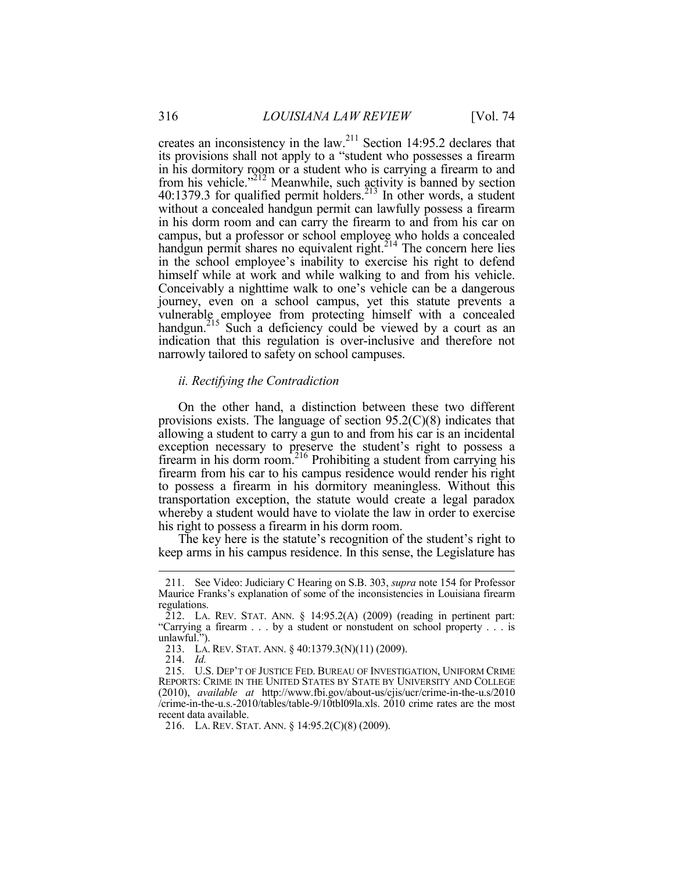creates an inconsistency in the law.211 Section 14:95.2 declares that its provisions shall not apply to a "student who possesses a firearm in his dormitory room or a student who is carrying a firearm to and from his vehicle." $^{212}$  Meanwhile, such activity is banned by section  $40:1379.3$  for qualified permit holders.<sup>213</sup> In other words, a student without a concealed handgun permit can lawfully possess a firearm in his dorm room and can carry the firearm to and from his car on campus, but a professor or school employee who holds a concealed handgun permit shares no equivalent right.<sup>214</sup> The concern here lies in the school employee's inability to exercise his right to defend himself while at work and while walking to and from his vehicle. Conceivably a nighttime walk to one's vehicle can be a dangerous journey, even on a school campus, yet this statute prevents a vulnerable employee from protecting himself with a concealed handgun.<sup>215</sup> Such a deficiency could be viewed by a court as an indication that this regulation is over-inclusive and therefore not narrowly tailored to safety on school campuses.

# *ii. Rectifying the Contradiction*

On the other hand, a distinction between these two different provisions exists. The language of section  $95.2(C)(8)$  indicates that allowing a student to carry a gun to and from his car is an incidental exception necessary to preserve the student's right to possess a firearm in his dorm room.216 Prohibiting a student from carrying his firearm from his car to his campus residence would render his right to possess a firearm in his dormitory meaningless. Without this transportation exception, the statute would create a legal paradox whereby a student would have to violate the law in order to exercise his right to possess a firearm in his dorm room.

The key here is the statute's recognition of the student's right to keep arms in his campus residence. In this sense, the Legislature has

 <sup>211.</sup> See Video: Judiciary C Hearing on S.B. 303, *supra* note 154 for Professor Maurice Franks's explanation of some of the inconsistencies in Louisiana firearm regulations.

 $\overline{2}12$ . LA. REV. STAT. ANN. § 14:95.2(A) (2009) (reading in pertinent part: "Carrying a firearm . . . by a student or nonstudent on school property . . . is unlawful.").

 <sup>213.</sup> LA. REV. STAT. ANN. § 40:1379.3(N)(11) (2009).

 <sup>214.</sup> *Id.*

 <sup>215.</sup> U.S. DEP'T OF JUSTICE FED. BUREAU OF INVESTIGATION, UNIFORM CRIME REPORTS: CRIME IN THE UNITED STATES BY STATE BY UNIVERSITY AND COLLEGE (2010), *available at* http://www.fbi.gov/about-us/cjis/ucr/crime-in-the-u.s/2010 /crime-in-the-u.s.-2010/tables/table-9/10tbl09la.xls. 2010 crime rates are the most recent data available.

 <sup>216.</sup> LA. REV. STAT. ANN. § 14:95.2(C)(8) (2009).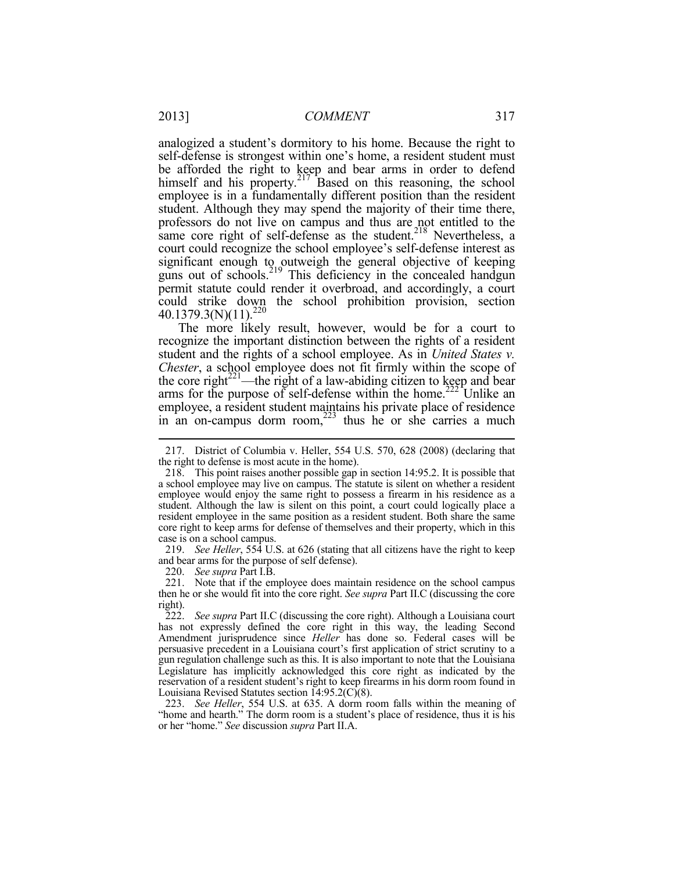analogized a student's dormitory to his home. Because the right to self-defense is strongest within one's home, a resident student must be afforded the right to keep and bear arms in order to defend himself and his property. $2^{17}$  Based on this reasoning, the school employee is in a fundamentally different position than the resident student. Although they may spend the majority of their time there, professors do not live on campus and thus are not entitled to the same core right of self-defense as the student.<sup>218</sup> Nevertheless, a court could recognize the school employee's self-defense interest as significant enough to outweigh the general objective of keeping guns out of schools.<sup>219</sup> This deficiency in the concealed handgun permit statute could render it overbroad, and accordingly, a court could strike down the school prohibition provision, section  $40.1379.3(N)(11).^{220}$ 

The more likely result, however, would be for a court to recognize the important distinction between the rights of a resident student and the rights of a school employee. As in *United States v. Chester*, a school employee does not fit firmly within the scope of the core right $2^{21}$ —the right of a law-abiding citizen to keep and bear arms for the purpose of self-defense within the home.<sup>222</sup> Unlike an employee, a resident student maintains his private place of residence in an on-campus dorm room, $223$  thus he or she carries a much

 219. *See Heller*, 554 U.S. at 626 (stating that all citizens have the right to keep and bear arms for the purpose of self defense).

220. *See supra* Part I.B.

 221. Note that if the employee does maintain residence on the school campus then he or she would fit into the core right. *See supra* Part II.C (discussing the core right).

 <sup>217.</sup> District of Columbia v. Heller, 554 U.S. 570, 628 (2008) (declaring that the right to defense is most acute in the home).

 <sup>218.</sup> This point raises another possible gap in section 14:95.2. It is possible that a school employee may live on campus. The statute is silent on whether a resident employee would enjoy the same right to possess a firearm in his residence as a student. Although the law is silent on this point, a court could logically place a resident employee in the same position as a resident student. Both share the same core right to keep arms for defense of themselves and their property, which in this case is on a school campus.

 <sup>222.</sup> *See supra* Part II.C (discussing the core right). Although a Louisiana court has not expressly defined the core right in this way, the leading Second Amendment jurisprudence since *Heller* has done so. Federal cases will be persuasive precedent in a Louisiana court's first application of strict scrutiny to a gun regulation challenge such as this. It is also important to note that the Louisiana Legislature has implicitly acknowledged this core right as indicated by the reservation of a resident student's right to keep firearms in his dorm room found in Louisiana Revised Statutes section 14:95.2(C)(8).

 <sup>223.</sup> *See Heller*, 554 U.S. at 635. A dorm room falls within the meaning of "home and hearth." The dorm room is a student's place of residence, thus it is his or her "home." *See* discussion *supra* Part II.A.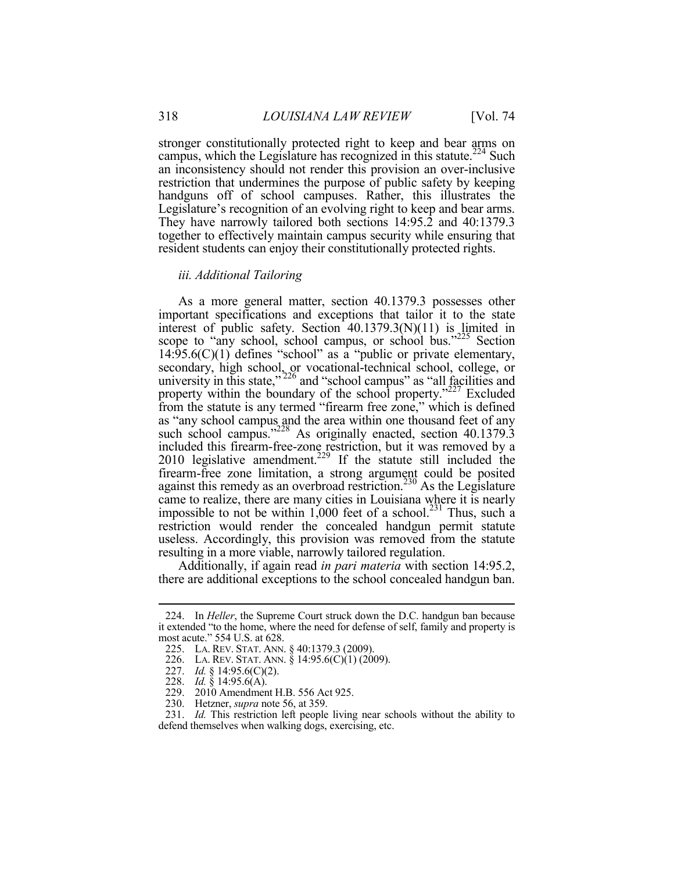stronger constitutionally protected right to keep and bear arms on campus, which the Legislature has recognized in this statute.<sup>224</sup> Such an inconsistency should not render this provision an over-inclusive restriction that undermines the purpose of public safety by keeping handguns off of school campuses. Rather, this illustrates the Legislature's recognition of an evolving right to keep and bear arms. They have narrowly tailored both sections 14:95.2 and 40:1379.3 together to effectively maintain campus security while ensuring that resident students can enjoy their constitutionally protected rights.

# *iii. Additional Tailoring*

As a more general matter, section 40.1379.3 possesses other important specifications and exceptions that tailor it to the state interest of public safety. Section 40.1379.3(N)(11) is limited in scope to "any school, school campus, or school bus."<sup>225</sup> Section  $14.95.6(C)(1)$  defines "school" as a "public or private elementary, secondary, high school, or vocational-technical school, college, or university in this state," $^{226}$  and "school campus" as "all facilities and property within the boundary of the school property."<sup>227</sup> Excluded from the statute is any termed "firearm free zone," which is defined as "any school campus and the area within one thousand feet of any such school campus."<sup>228</sup> As originally enacted, section 40.1379.3 included this firearm-free-zone restriction, but it was removed by a  $2010$  legislative amendment.<sup>229</sup> If the statute still included the firearm-free zone limitation, a strong argument could be posited against this remedy as an overbroad restriction.<sup>230</sup> As the Legislature came to realize, there are many cities in Louisiana where it is nearly impossible to not be within  $1,000$  feet of a school.<sup>231</sup> Thus, such a restriction would render the concealed handgun permit statute useless. Accordingly, this provision was removed from the statute resulting in a more viable, narrowly tailored regulation.

Additionally, if again read *in pari materia* with section 14:95.2, there are additional exceptions to the school concealed handgun ban.

 <sup>224.</sup> In *Heller*, the Supreme Court struck down the D.C. handgun ban because it extended "to the home, where the need for defense of self, family and property is most acute." 554 U.S. at 628.

 <sup>225.</sup> LA. REV. STAT. ANN. § 40:1379.3 (2009).

 <sup>226.</sup> LA. REV. STAT. ANN. § 14:95.6(C)(1) (2009).

 <sup>227.</sup> *Id.* § 14:95.6(C)(2).

 <sup>228.</sup> *Id.* § 14:95.6(A).

 <sup>229. 2010</sup> Amendment H.B. 556 Act 925.

 <sup>230.</sup> Hetzner, *supra* note 56, at 359.

 <sup>231.</sup> *Id.* This restriction left people living near schools without the ability to defend themselves when walking dogs, exercising, etc.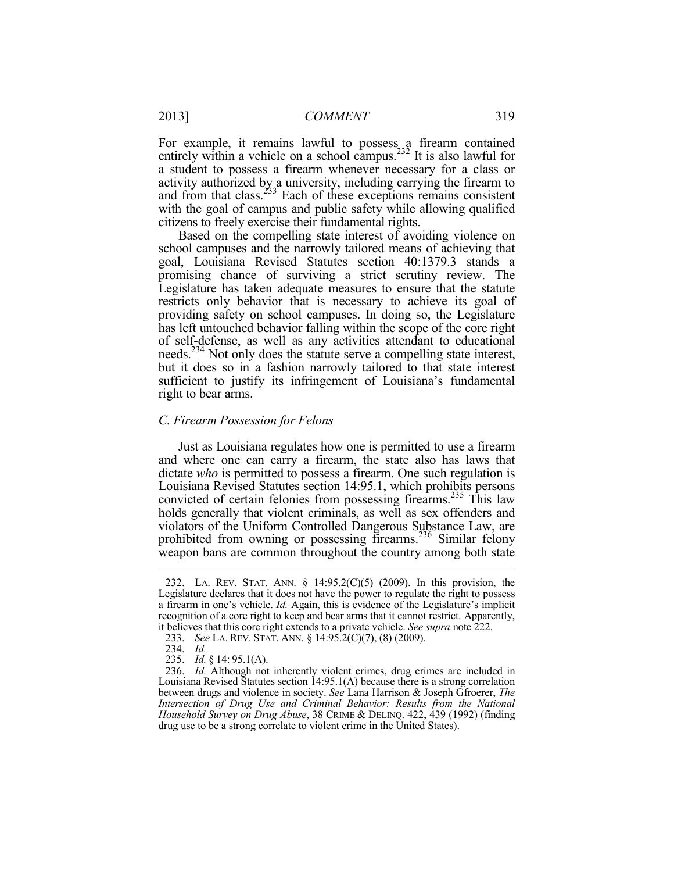For example, it remains lawful to possess a firearm contained entirely within a vehicle on a school campus.<sup>232</sup> It is also lawful for a student to possess a firearm whenever necessary for a class or activity authorized by a university, including carrying the firearm to and from that class.<sup>233</sup> Each of these exceptions remains consistent with the goal of campus and public safety while allowing qualified citizens to freely exercise their fundamental rights.

Based on the compelling state interest of avoiding violence on school campuses and the narrowly tailored means of achieving that goal, Louisiana Revised Statutes section 40:1379.3 stands a promising chance of surviving a strict scrutiny review. The Legislature has taken adequate measures to ensure that the statute restricts only behavior that is necessary to achieve its goal of providing safety on school campuses. In doing so, the Legislature has left untouched behavior falling within the scope of the core right of self-defense, as well as any activities attendant to educational needs.234 Not only does the statute serve a compelling state interest, but it does so in a fashion narrowly tailored to that state interest sufficient to justify its infringement of Louisiana's fundamental right to bear arms.

# *C. Firearm Possession for Felons*

Just as Louisiana regulates how one is permitted to use a firearm and where one can carry a firearm, the state also has laws that dictate *who* is permitted to possess a firearm. One such regulation is Louisiana Revised Statutes section 14:95.1, which prohibits persons convicted of certain felonies from possessing firearms.<sup>235</sup> This law holds generally that violent criminals, as well as sex offenders and violators of the Uniform Controlled Dangerous Substance Law, are prohibited from owning or possessing firearms.<sup>236</sup> Similar felony weapon bans are common throughout the country among both state

 <sup>232.</sup> LA. REV. STAT. ANN. § 14:95.2(C)(5) (2009). In this provision, the Legislature declares that it does not have the power to regulate the right to possess a firearm in one's vehicle. *Id.* Again, this is evidence of the Legislature's implicit recognition of a core right to keep and bear arms that it cannot restrict. Apparently, it believes that this core right extends to a private vehicle. *See supra* note 222.

 <sup>233.</sup> *See* LA. REV. STAT. ANN. § 14:95.2(C)(7), (8) (2009).

 <sup>234.</sup> *Id.*

 <sup>235.</sup> *Id.* § 14: 95.1(A).

 <sup>236.</sup> *Id.* Although not inherently violent crimes, drug crimes are included in Louisiana Revised Statutes section 14:95.1(A) because there is a strong correlation between drugs and violence in society. *See* Lana Harrison & Joseph Gfroerer, *The Intersection of Drug Use and Criminal Behavior: Results from the National Household Survey on Drug Abuse*, 38 CRIME & DELINQ. 422, 439 (1992) (finding drug use to be a strong correlate to violent crime in the United States).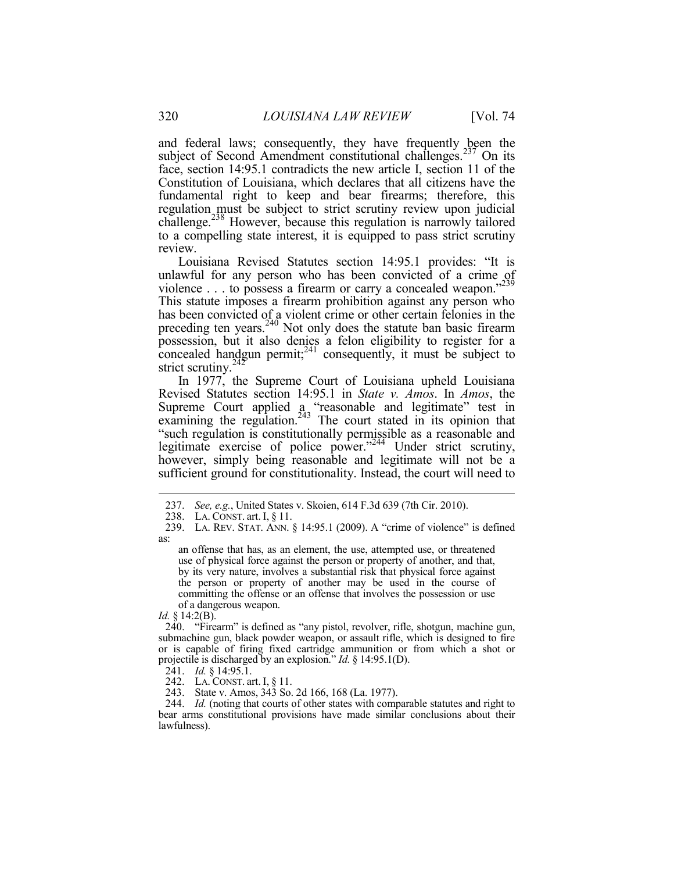and federal laws; consequently, they have frequently been the subject of Second Amendment constitutional challenges.<sup>237</sup> On its face, section 14:95.1 contradicts the new article I, section 11 of the Constitution of Louisiana, which declares that all citizens have the fundamental right to keep and bear firearms; therefore, this regulation must be subject to strict scrutiny review upon judicial challenge.<sup>238</sup> However, because this regulation is narrowly tailored to a compelling state interest, it is equipped to pass strict scrutiny review.

Louisiana Revised Statutes section 14:95.1 provides: "It is unlawful for any person who has been convicted of a crime of violence . . . to possess a firearm or carry a concealed weapon."<sup>239</sup> This statute imposes a firearm prohibition against any person who has been convicted of a violent crime or other certain felonies in the preceding ten years.<sup>240</sup> Not only does the statute ban basic firearm possession, but it also denies a felon eligibility to register for a concealed handgun permit; $^{241}$  consequently, it must be subject to strict scrutiny. $242$ 

In 1977, the Supreme Court of Louisiana upheld Louisiana Revised Statutes section 14:95.1 in *State v. Amos*. In *Amos*, the Supreme Court applied a "reasonable and legitimate" test in examining the regulation.<sup>243</sup> The court stated in its opinion that "such regulation is constitutionally permissible as a reasonable and legitimate exercise of police power."244 Under strict scrutiny, however, simply being reasonable and legitimate will not be a sufficient ground for constitutionality. Instead, the court will need to

*Id.* § 14:2(B).

<u>.</u>

 240. "Firearm" is defined as "any pistol, revolver, rifle, shotgun, machine gun, submachine gun, black powder weapon, or assault rifle, which is designed to fire or is capable of firing fixed cartridge ammunition or from which a shot or projectile is discharged by an explosion." *Id.* § 14:95.1(D).

241. *Id.* § 14:95.1.

242. LA. CONST. art. I, § 11.

243. State v. Amos, 343 So. 2d 166, 168 (La. 1977).

 244. *Id.* (noting that courts of other states with comparable statutes and right to bear arms constitutional provisions have made similar conclusions about their lawfulness).

<sup>237.</sup> *See, e.g.*, United States v. Skoien, 614 F.3d 639 (7th Cir. 2010).<br>238. LA. CONST. art. I. § 11.

LA. CONST. art. I,  $\S 11$ .

 <sup>239.</sup> LA. REV. STAT. ANN. § 14:95.1 (2009). A "crime of violence" is defined as:

an offense that has, as an element, the use, attempted use, or threatened use of physical force against the person or property of another, and that, by its very nature, involves a substantial risk that physical force against the person or property of another may be used in the course of committing the offense or an offense that involves the possession or use of a dangerous weapon.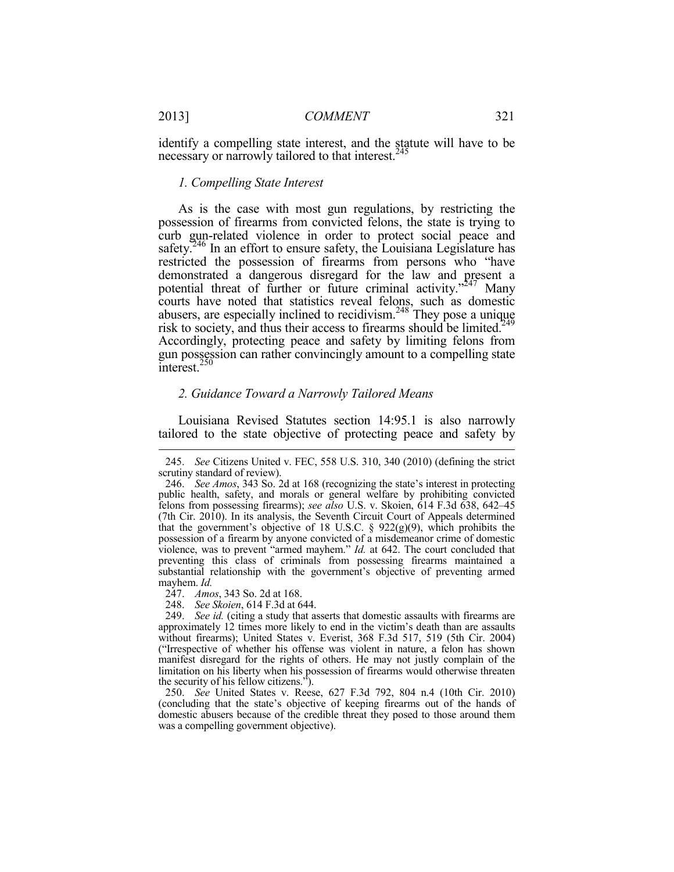identify a compelling state interest, and the statute will have to be necessary or narrowly tailored to that interest.<sup>245</sup>

#### *1. Compelling State Interest*

As is the case with most gun regulations, by restricting the possession of firearms from convicted felons, the state is trying to curb gun-related violence in order to protect social peace and safety.<sup>246</sup> In an effort to ensure safety, the Louisiana Legislature has restricted the possession of firearms from persons who "have demonstrated a dangerous disregard for the law and present a potential threat of further or future criminal activity. $247$  Many courts have noted that statistics reveal felons, such as domestic abusers, are especially inclined to recidivism.<sup>248</sup> They pose a unique risk to society, and thus their access to firearms should be limited.<sup>249</sup> Accordingly, protecting peace and safety by limiting felons from gun possession can rather convincingly amount to a compelling state  $\text{interest.}^{250}$ 

#### *2. Guidance Toward a Narrowly Tailored Means*

Louisiana Revised Statutes section 14:95.1 is also narrowly tailored to the state objective of protecting peace and safety by

 <sup>245.</sup> *See* Citizens United v. FEC, 558 U.S. 310, 340 (2010) (defining the strict scrutiny standard of review).

 <sup>246.</sup> *See Amos*, 343 So. 2d at 168 (recognizing the state's interest in protecting public health, safety, and morals or general welfare by prohibiting convicted felons from possessing firearms); *see also* U.S. v. Skoien, 614 F.3d 638, 642–45 (7th Cir. 2010). In its analysis, the Seventh Circuit Court of Appeals determined that the government's objective of 18 U.S.C.  $\S$  922(g)(9), which prohibits the possession of a firearm by anyone convicted of a misdemeanor crime of domestic violence, was to prevent "armed mayhem." *Id.* at 642. The court concluded that preventing this class of criminals from possessing firearms maintained a substantial relationship with the government's objective of preventing armed mayhem. *Id.* 

 <sup>247.</sup> *Amos*, 343 So. 2d at 168.

 <sup>248.</sup> *See Skoien*, 614 F.3d at 644.

 <sup>249.</sup> *See id.* (citing a study that asserts that domestic assaults with firearms are approximately 12 times more likely to end in the victim's death than are assaults without firearms); United States v. Everist, 368 F.3d 517, 519 (5th Cir. 2004) ("Irrespective of whether his offense was violent in nature, a felon has shown manifest disregard for the rights of others. He may not justly complain of the limitation on his liberty when his possession of firearms would otherwise threaten the security of his fellow citizens.").

 <sup>250.</sup> *See* United States v. Reese, 627 F.3d 792, 804 n.4 (10th Cir. 2010) (concluding that the state's objective of keeping firearms out of the hands of domestic abusers because of the credible threat they posed to those around them was a compelling government objective).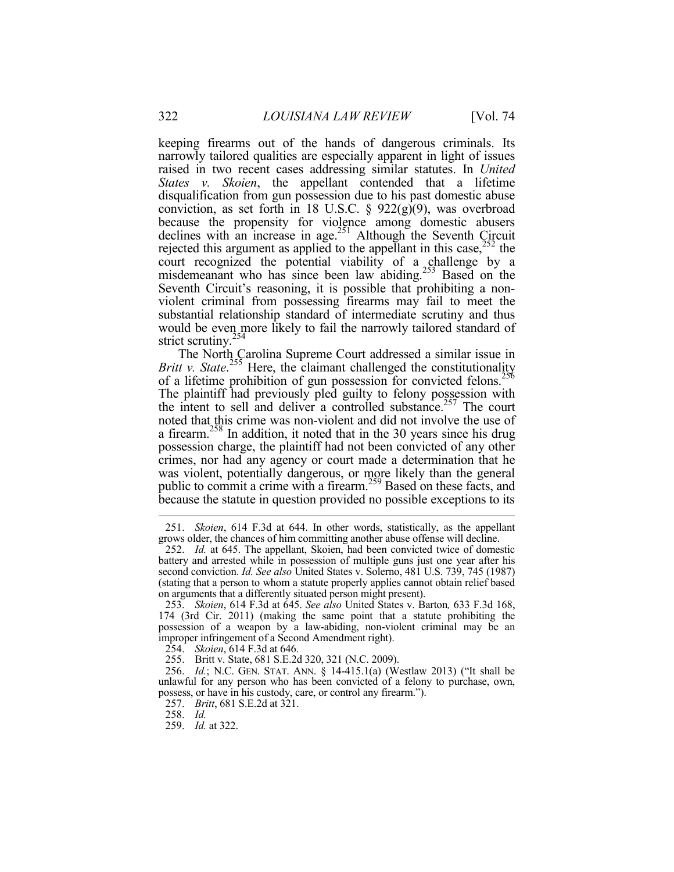keeping firearms out of the hands of dangerous criminals. Its narrowly tailored qualities are especially apparent in light of issues raised in two recent cases addressing similar statutes. In *United States v. Skoien*, the appellant contended that a lifetime disqualification from gun possession due to his past domestic abuse conviction, as set forth in 18 U.S.C. § 922(g)(9), was overbroad because the propensity for violence among domestic abusers declines with an increase in age.<sup>251</sup> Although the Seventh Circuit rejected this argument as applied to the appellant in this case,  $^{252}$  the court recognized the potential viability of a challenge by a misdemeanant who has since been law abiding.<sup>253</sup> Based on the Seventh Circuit's reasoning, it is possible that prohibiting a nonviolent criminal from possessing firearms may fail to meet the substantial relationship standard of intermediate scrutiny and thus would be even more likely to fail the narrowly tailored standard of strict scrutiny.<sup>254</sup>

The North Carolina Supreme Court addressed a similar issue in Britt v. State.<sup>255</sup> Here, the claimant challenged the constitutionality of a lifetime prohibition of gun possession for convicted felons.<sup>256</sup> The plaintiff had previously pled guilty to felony possession with the intent to sell and deliver a controlled substance.<sup>257</sup> The court noted that this crime was non-violent and did not involve the use of a firearm.<sup>258</sup> In addition, it noted that in the 30 years since his drug possession charge, the plaintiff had not been convicted of any other crimes, nor had any agency or court made a determination that he was violent, potentially dangerous, or more likely than the general public to commit a crime with a firearm.<sup>259</sup> Based on these facts, and because the statute in question provided no possible exceptions to its

 <sup>251.</sup> *Skoien*, 614 F.3d at 644. In other words, statistically, as the appellant grows older, the chances of him committing another abuse offense will decline.

 <sup>252.</sup> *Id.* at 645. The appellant, Skoien, had been convicted twice of domestic battery and arrested while in possession of multiple guns just one year after his second conviction. *Id. See also* United States v. Solerno, 481 U.S. 739, 745 (1987) (stating that a person to whom a statute properly applies cannot obtain relief based on arguments that a differently situated person might present).

 <sup>253.</sup> *Skoien*, 614 F.3d at 645. *See also* United States v. Barton*,* 633 F.3d 168, 174 (3rd Cir. 2011) (making the same point that a statute prohibiting the possession of a weapon by a law-abiding, non-violent criminal may be an improper infringement of a Second Amendment right).

 <sup>254.</sup> *Skoien*, 614 F.3d at 646.

 <sup>255.</sup> Britt v. State, 681 S.E.2d 320, 321 (N.C. 2009).

 <sup>256.</sup> *Id.*; N.C. GEN. STAT. ANN. § 14-415.1(a) (Westlaw 2013) ("It shall be unlawful for any person who has been convicted of a felony to purchase, own, possess, or have in his custody, care, or control any firearm.").

 <sup>257.</sup> *Britt*, 681 S.E.2d at 321.

 <sup>258.</sup> *Id.* 

 <sup>259.</sup> *Id.* at 322.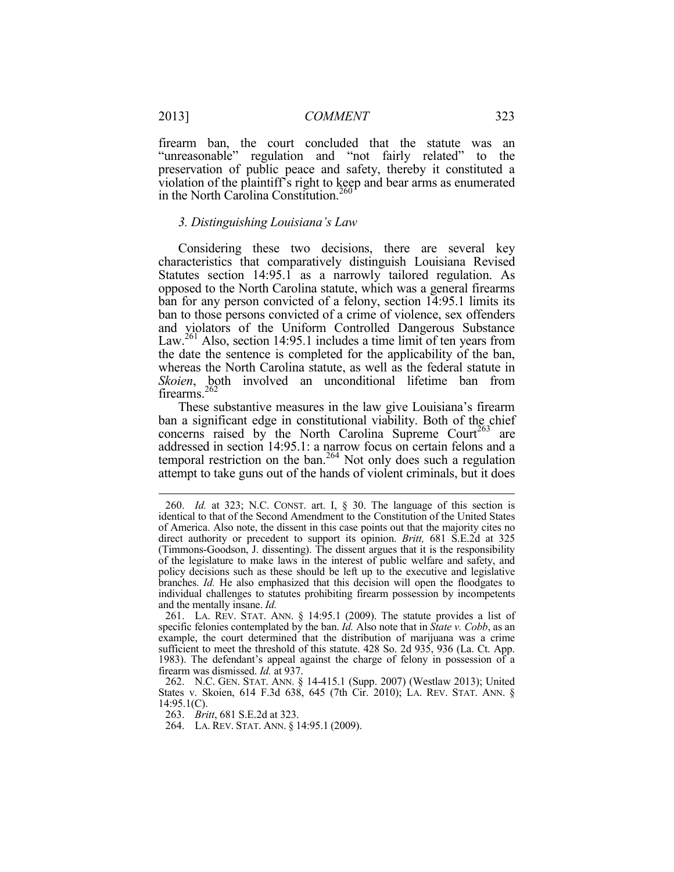firearm ban, the court concluded that the statute was an "unreasonable" regulation and "not fairly related" to the preservation of public peace and safety, thereby it constituted a violation of the plaintiff's right to keep and bear arms as enumerated in the North Carolina Constitution.<sup>260</sup>

#### *3. Distinguishing Louisiana's Law*

Considering these two decisions, there are several key characteristics that comparatively distinguish Louisiana Revised Statutes section 14:95.1 as a narrowly tailored regulation. As opposed to the North Carolina statute, which was a general firearms ban for any person convicted of a felony, section 14:95.1 limits its ban to those persons convicted of a crime of violence, sex offenders and violators of the Uniform Controlled Dangerous Substance Law.<sup>261</sup> Also, section 14:95.1 includes a time limit of ten years from the date the sentence is completed for the applicability of the ban, whereas the North Carolina statute, as well as the federal statute in *Skoien*, both involved an unconditional lifetime ban from firearms.<sup>262</sup>

These substantive measures in the law give Louisiana's firearm ban a significant edge in constitutional viability. Both of the chief concerns raised by the North Carolina Supreme Court<sup>263</sup> are addressed in section 14:95.1: a narrow focus on certain felons and a temporal restriction on the ban.<sup>264</sup> Not only does such a regulation attempt to take guns out of the hands of violent criminals, but it does

263. *Britt*, 681 S.E.2d at 323.

 <sup>260.</sup> *Id.* at 323; N.C. CONST. art. I, § 30. The language of this section is identical to that of the Second Amendment to the Constitution of the United States of America. Also note, the dissent in this case points out that the majority cites no direct authority or precedent to support its opinion. *Britt,* 681 S.E.2d at 325 (Timmons-Goodson, J. dissenting). The dissent argues that it is the responsibility of the legislature to make laws in the interest of public welfare and safety, and policy decisions such as these should be left up to the executive and legislative branches. *Id.* He also emphasized that this decision will open the floodgates to individual challenges to statutes prohibiting firearm possession by incompetents and the mentally insane. *Id.*

 <sup>261.</sup> LA. REV. STAT. ANN. § 14:95.1 (2009). The statute provides a list of specific felonies contemplated by the ban. *Id.* Also note that in *State v. Cobb*, as an example, the court determined that the distribution of marijuana was a crime sufficient to meet the threshold of this statute. 428 So. 2d 935, 936 (La. Ct. App. 1983). The defendant's appeal against the charge of felony in possession of a firearm was dismissed. *Id.* at 937.

 <sup>262.</sup> N.C. GEN. STAT. ANN. § 14-415.1 (Supp. 2007) (Westlaw 2013); United States v. Skoien, 614 F.3d 638, 645 (7th Cir. 2010); LA. REV. STAT. ANN. §  $14:95.1(C)$ .

 <sup>264.</sup> LA. REV. STAT. ANN. § 14:95.1 (2009).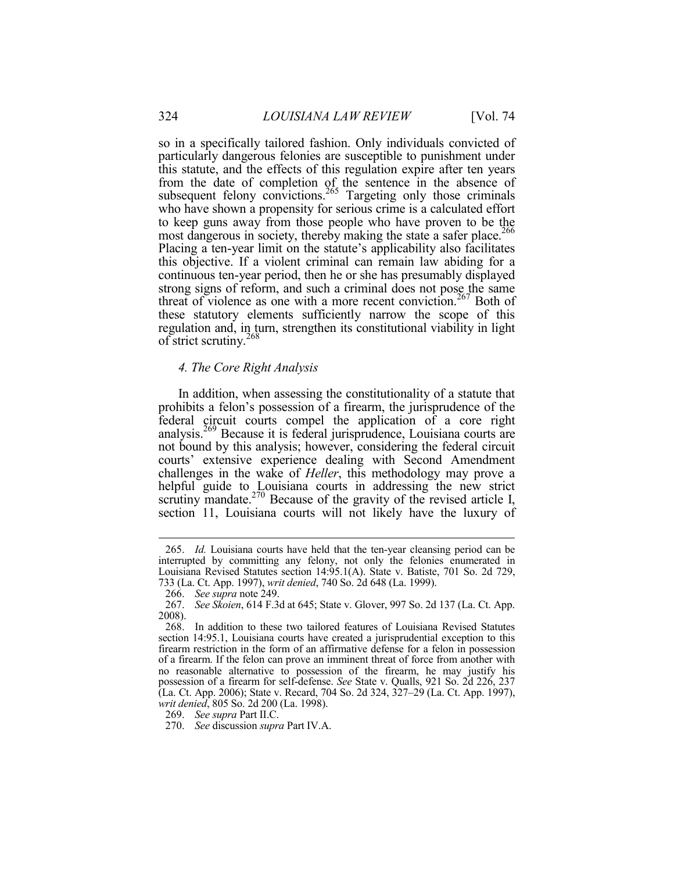so in a specifically tailored fashion. Only individuals convicted of particularly dangerous felonies are susceptible to punishment under this statute, and the effects of this regulation expire after ten years from the date of completion of the sentence in the absence of subsequent felony convictions. $^{265}$  Targeting only those criminals who have shown a propensity for serious crime is a calculated effort to keep guns away from those people who have proven to be the most dangerous in society, thereby making the state a safer place.<sup>266</sup> Placing a ten-year limit on the statute's applicability also facilitates this objective. If a violent criminal can remain law abiding for a continuous ten-year period, then he or she has presumably displayed strong signs of reform, and such a criminal does not pose the same threat of violence as one with a more recent conviction.<sup>267</sup> Both of these statutory elements sufficiently narrow the scope of this regulation and, in turn, strengthen its constitutional viability in light of strict scrutiny.<sup>268</sup>

#### *4. The Core Right Analysis*

In addition, when assessing the constitutionality of a statute that prohibits a felon's possession of a firearm, the jurisprudence of the federal circuit courts compel the application of a core right analysis.269 Because it is federal jurisprudence, Louisiana courts are not bound by this analysis; however, considering the federal circuit courts' extensive experience dealing with Second Amendment challenges in the wake of *Heller*, this methodology may prove a helpful guide to Louisiana courts in addressing the new strict scrutiny mandate.<sup>270</sup> Because of the gravity of the revised article I, section 11, Louisiana courts will not likely have the luxury of

 <sup>265.</sup> *Id.* Louisiana courts have held that the ten-year cleansing period can be interrupted by committing any felony, not only the felonies enumerated in Louisiana Revised Statutes section 14:95.1(A). State v. Batiste, 701 So. 2d 729, 733 (La. Ct. App. 1997), *writ denied*, 740 So. 2d 648 (La. 1999).

 <sup>266.</sup> *See supra* note 249.

 <sup>267.</sup> *See Skoien*, 614 F.3d at 645; State v. Glover, 997 So. 2d 137 (La. Ct. App. 2008).

 <sup>268.</sup> In addition to these two tailored features of Louisiana Revised Statutes section 14:95.1, Louisiana courts have created a jurisprudential exception to this firearm restriction in the form of an affirmative defense for a felon in possession of a firearm. If the felon can prove an imminent threat of force from another with no reasonable alternative to possession of the firearm, he may justify his possession of a firearm for self-defense. *See* State v. Qualls, 921 So. 2d 226, 237 (La. Ct. App. 2006); State v. Recard, 704 So. 2d 324, 327–29 (La. Ct. App. 1997), *writ denied*, 805 So. 2d 200 (La. 1998).

 <sup>269.</sup> *See supra* Part II.C.

 <sup>270.</sup> *See* discussion *supra* Part IV.A.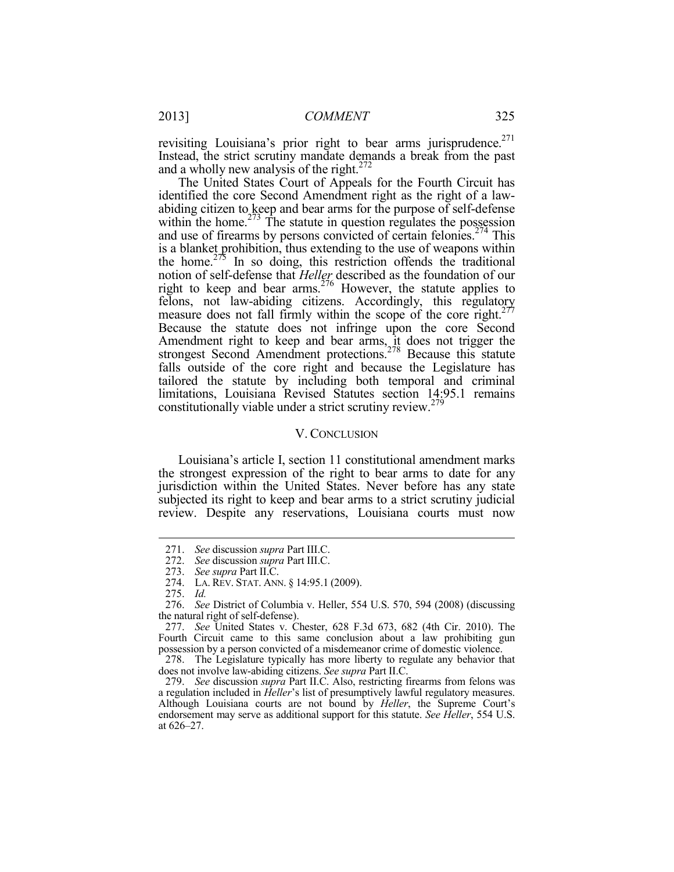revisiting Louisiana's prior right to bear arms jurisprudence.<sup>271</sup> Instead, the strict scrutiny mandate demands a break from the past and a wholly new analysis of the right. $272$ 

The United States Court of Appeals for the Fourth Circuit has identified the core Second Amendment right as the right of a lawabiding citizen to keep and bear arms for the purpose of self-defense within the home. $273$  The statute in question regulates the possession and use of firearms by persons convicted of certain felonies.<sup> $274$ </sup> This is a blanket prohibition, thus extending to the use of weapons within the home.<sup>275</sup> In so doing, this restriction offends the traditional notion of self-defense that *Heller* described as the foundation of our right to keep and bear arms.<sup>276</sup> However, the statute applies to felons, not law-abiding citizens. Accordingly, this regulatory measure does not fall firmly within the scope of the core right.<sup>277</sup> Because the statute does not infringe upon the core Second Amendment right to keep and bear arms, it does not trigger the strongest Second Amendment protections.<sup>278</sup> Because this statute falls outside of the core right and because the Legislature has tailored the statute by including both temporal and criminal limitations, Louisiana Revised Statutes section 14:95.1 remains constitutionally viable under a strict scrutiny review.<sup>279</sup>

#### V. CONCLUSION

Louisiana's article I, section 11 constitutional amendment marks the strongest expression of the right to bear arms to date for any jurisdiction within the United States. Never before has any state subjected its right to keep and bear arms to a strict scrutiny judicial review. Despite any reservations, Louisiana courts must now

275. *Id.*

1

 278. The Legislature typically has more liberty to regulate any behavior that does not involve law-abiding citizens. *See supra* Part II.C.

 <sup>271.</sup> *See* discussion *supra* Part III.C.

 <sup>272.</sup> *See* discussion *supra* Part III.C.

 <sup>273.</sup> *See supra* Part II.C.

 <sup>274.</sup> LA. REV. STAT. ANN. § 14:95.1 (2009).

 <sup>276.</sup> *See* District of Columbia v. Heller, 554 U.S. 570, 594 (2008) (discussing the natural right of self-defense).

 <sup>277.</sup> *See* United States v. Chester, 628 F.3d 673, 682 (4th Cir. 2010). The Fourth Circuit came to this same conclusion about a law prohibiting gun possession by a person convicted of a misdemeanor crime of domestic violence.

 <sup>279.</sup> *See* discussion *supra* Part II.C. Also, restricting firearms from felons was a regulation included in *Heller*'s list of presumptively lawful regulatory measures. Although Louisiana courts are not bound by *Heller*, the Supreme Court's endorsement may serve as additional support for this statute. *See Heller*, 554 U.S. at 626–27.